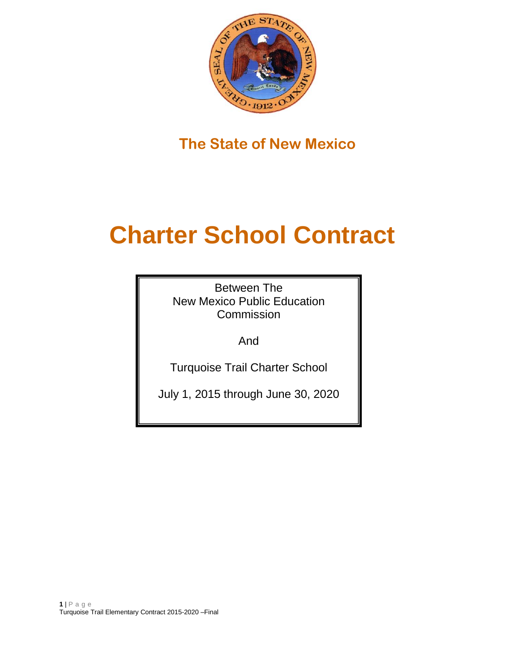

**The State of New Mexico**

# **Charter School Contract**

Between The New Mexico Public Education Commission

And

Turquoise Trail Charter School

July 1, 2015 through June 30, 2020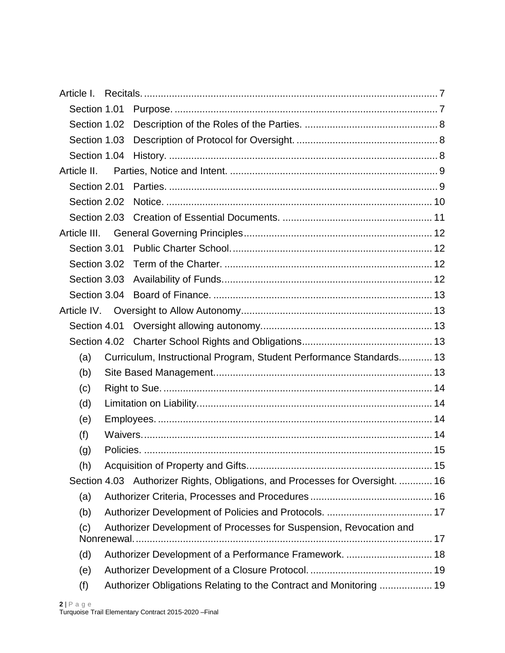| Article I.   |                                                                               |  |
|--------------|-------------------------------------------------------------------------------|--|
| Section 1.01 |                                                                               |  |
| Section 1.02 |                                                                               |  |
| Section 1.03 |                                                                               |  |
| Section 1.04 |                                                                               |  |
| Article II.  |                                                                               |  |
| Section 2.01 |                                                                               |  |
| Section 2.02 |                                                                               |  |
|              |                                                                               |  |
|              |                                                                               |  |
| Section 3.01 |                                                                               |  |
| Section 3.02 |                                                                               |  |
| Section 3.03 |                                                                               |  |
| Section 3.04 |                                                                               |  |
| Article IV.  |                                                                               |  |
| Section 4.01 |                                                                               |  |
|              |                                                                               |  |
| (a)          | Curriculum, Instructional Program, Student Performance Standards 13           |  |
| (b)          |                                                                               |  |
| (c)          |                                                                               |  |
| (d)          |                                                                               |  |
| (e)          |                                                                               |  |
| (f)          |                                                                               |  |
| (g)          |                                                                               |  |
| (h)          |                                                                               |  |
|              | Section 4.03 Authorizer Rights, Obligations, and Processes for Oversight.  16 |  |
| (a)          |                                                                               |  |
| (b)          |                                                                               |  |
| (c)          | Authorizer Development of Processes for Suspension, Revocation and            |  |
| (d)          | Authorizer Development of a Performance Framework.  18                        |  |
| (e)          |                                                                               |  |
| (f)          | Authorizer Obligations Relating to the Contract and Monitoring  19            |  |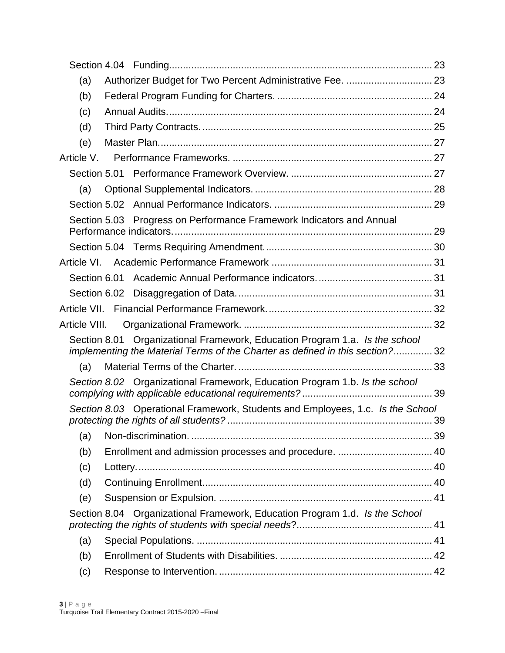| (a)                                                                                                                                                          |  |
|--------------------------------------------------------------------------------------------------------------------------------------------------------------|--|
| (b)                                                                                                                                                          |  |
| (c)                                                                                                                                                          |  |
| (d)                                                                                                                                                          |  |
| (e)                                                                                                                                                          |  |
| Article V.                                                                                                                                                   |  |
| Section 5.01                                                                                                                                                 |  |
| (a)                                                                                                                                                          |  |
|                                                                                                                                                              |  |
| Section 5.03 Progress on Performance Framework Indicators and Annual                                                                                         |  |
|                                                                                                                                                              |  |
|                                                                                                                                                              |  |
| Section 6.01                                                                                                                                                 |  |
|                                                                                                                                                              |  |
|                                                                                                                                                              |  |
|                                                                                                                                                              |  |
| Section 8.01 Organizational Framework, Education Program 1.a. Is the school<br>implementing the Material Terms of the Charter as defined in this section? 32 |  |
| (a)                                                                                                                                                          |  |
| Section 8.02 Organizational Framework, Education Program 1.b. Is the school                                                                                  |  |
| Section 8.03 Operational Framework, Students and Employees, 1.c. Is the School                                                                               |  |
| (a)                                                                                                                                                          |  |
| (b)                                                                                                                                                          |  |
| (c)                                                                                                                                                          |  |
| (d)                                                                                                                                                          |  |
| (e)                                                                                                                                                          |  |
| Section 8.04 Organizational Framework, Education Program 1.d. Is the School                                                                                  |  |
| (a)                                                                                                                                                          |  |
| (b)                                                                                                                                                          |  |
| (c)                                                                                                                                                          |  |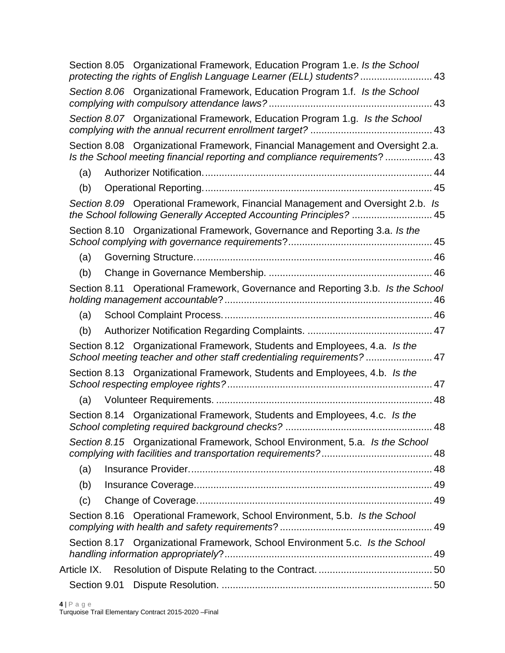|             | Section 8.05 Organizational Framework, Education Program 1.e. Is the School<br>protecting the rights of English Language Learner (ELL) students? 43          |    |
|-------------|--------------------------------------------------------------------------------------------------------------------------------------------------------------|----|
|             | Section 8.06 Organizational Framework, Education Program 1.f. Is the School                                                                                  |    |
|             | Section 8.07 Organizational Framework, Education Program 1.g. Is the School                                                                                  |    |
|             | Section 8.08 Organizational Framework, Financial Management and Oversight 2.a.<br>Is the School meeting financial reporting and compliance requirements?  43 |    |
| (a)         |                                                                                                                                                              |    |
| (b)         |                                                                                                                                                              |    |
|             | Section 8.09 Operational Framework, Financial Management and Oversight 2.b. Is<br>the School following Generally Accepted Accounting Principles?  45         |    |
|             | Section 8.10 Organizational Framework, Governance and Reporting 3.a. Is the                                                                                  |    |
| (a)         |                                                                                                                                                              |    |
| (b)         |                                                                                                                                                              |    |
|             | Section 8.11 Operational Framework, Governance and Reporting 3.b. Is the School                                                                              |    |
| (a)         |                                                                                                                                                              |    |
| (b)         |                                                                                                                                                              |    |
|             | Section 8.12 Organizational Framework, Students and Employees, 4.a. Is the<br>School meeting teacher and other staff credentialing requirements? 47          |    |
|             | Section 8.13 Organizational Framework, Students and Employees, 4.b. Is the                                                                                   |    |
| (a)         |                                                                                                                                                              |    |
|             | Section 8.14 Organizational Framework, Students and Employees, 4.c. Is the                                                                                   | 48 |
|             | Section 8.15 Organizational Framework, School Environment, 5.a. Is the School                                                                                |    |
| (a)         |                                                                                                                                                              |    |
| (b)         |                                                                                                                                                              |    |
| (c)         |                                                                                                                                                              |    |
|             | Section 8.16 Operational Framework, School Environment, 5.b. Is the School                                                                                   |    |
|             | Section 8.17 Organizational Framework, School Environment 5.c. Is the School                                                                                 |    |
| Article IX. |                                                                                                                                                              |    |
|             |                                                                                                                                                              |    |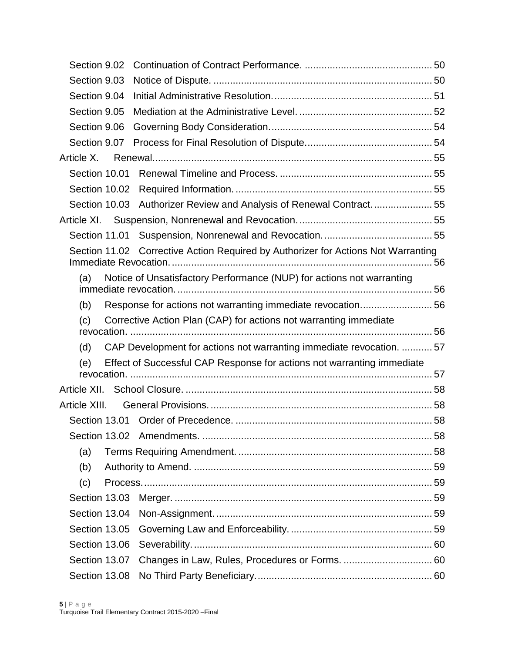| Section 9.02  |                                                                                   |  |
|---------------|-----------------------------------------------------------------------------------|--|
| Section 9.03  |                                                                                   |  |
| Section 9.04  |                                                                                   |  |
| Section 9.05  |                                                                                   |  |
| Section 9.06  |                                                                                   |  |
| Section 9.07  |                                                                                   |  |
| Article X.    |                                                                                   |  |
| Section 10.01 |                                                                                   |  |
|               |                                                                                   |  |
|               | Section 10.03 Authorizer Review and Analysis of Renewal Contract55                |  |
|               |                                                                                   |  |
|               |                                                                                   |  |
|               | Section 11.02 Corrective Action Required by Authorizer for Actions Not Warranting |  |
| (a)           | Notice of Unsatisfactory Performance (NUP) for actions not warranting             |  |
| (b)           | Response for actions not warranting immediate revocation56                        |  |
| (c)           | Corrective Action Plan (CAP) for actions not warranting immediate                 |  |
|               |                                                                                   |  |
| (d)           | CAP Development for actions not warranting immediate revocation. 57               |  |
| (e)           | Effect of Successful CAP Response for actions not warranting immediate            |  |
|               |                                                                                   |  |
| Article XIII. |                                                                                   |  |
|               |                                                                                   |  |
|               |                                                                                   |  |
| (a)           |                                                                                   |  |
| (b)           |                                                                                   |  |
| (c)           |                                                                                   |  |
| Section 13.03 |                                                                                   |  |
| Section 13.04 |                                                                                   |  |
| Section 13.05 |                                                                                   |  |
| Section 13.06 |                                                                                   |  |
| Section 13.07 |                                                                                   |  |
| Section 13.08 |                                                                                   |  |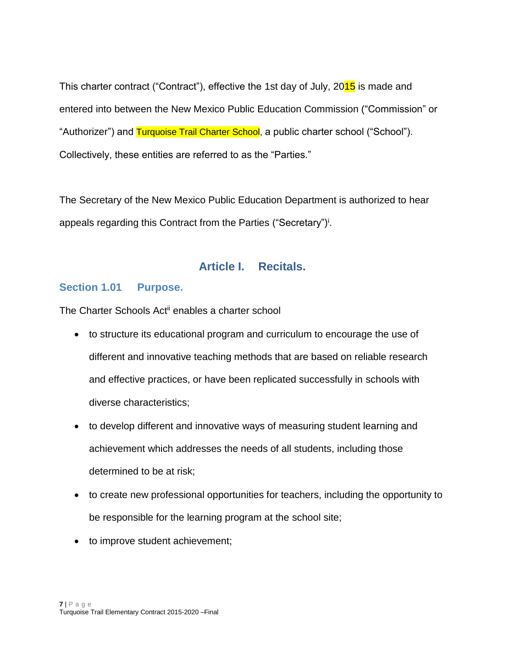This charter contract ("Contract"), effective the 1st day of July, 2015 is made and entered into between the New Mexico Public Education Commission ("Commission" or "Authorizer") and Turquoise Trail Charter School, a public charter school ("School"). Collectively, these entities are referred to as the "Parties."

The Secretary of the New Mexico Public Education Department is authorized to hear appeals regarding this Contract from the Parties ("Secretary")<sup>i</sup>.

# **Article I. Recitals.**

#### <span id="page-6-1"></span><span id="page-6-0"></span>**Section 1.01 Purpose.**

The Charter Schools Act<sup>ii</sup> enables a charter school

- to structure its educational program and curriculum to encourage the use of different and innovative teaching methods that are based on reliable research and effective practices, or have been replicated successfully in schools with diverse characteristics;
- to develop different and innovative ways of measuring student learning and achievement which addresses the needs of all students, including those determined to be at risk;
- to create new professional opportunities for teachers, including the opportunity to be responsible for the learning program at the school site;
- to improve student achievement;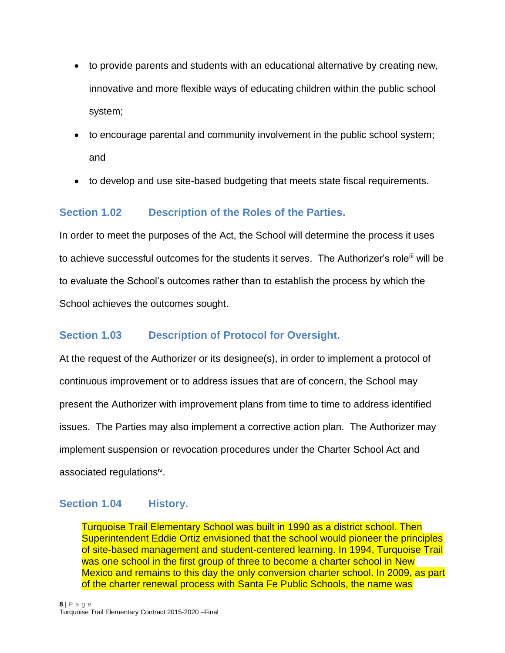- to provide parents and students with an educational alternative by creating new, innovative and more flexible ways of educating children within the public school system;
- to encourage parental and community involvement in the public school system; and
- to develop and use site-based budgeting that meets state fiscal requirements.

# <span id="page-7-0"></span>**Section 1.02 Description of the Roles of the Parties.**

In order to meet the purposes of the Act, the School will determine the process it uses to achieve successful outcomes for the students it serves. The Authorizer's role<sup>iii</sup> will be to evaluate the School's outcomes rather than to establish the process by which the School achieves the outcomes sought.

# <span id="page-7-1"></span>**Section 1.03 Description of Protocol for Oversight.**

At the request of the Authorizer or its designee(s), in order to implement a protocol of continuous improvement or to address issues that are of concern, the School may present the Authorizer with improvement plans from time to time to address identified issues. The Parties may also implement a corrective action plan. The Authorizer may implement suspension or revocation procedures under the Charter School Act and associated regulations<sup>iv</sup>.

#### <span id="page-7-2"></span>**Section 1.04 History.**

Turquoise Trail Elementary School was built in 1990 as a district school. Then Superintendent Eddie Ortiz envisioned that the school would pioneer the principles of site-based management and student-centered learning. In 1994, Turquoise Trail was one school in the first group of three to become a charter school in New Mexico and remains to this day the only conversion charter school. In 2009, as part of the charter renewal process with Santa Fe Public Schools, the name was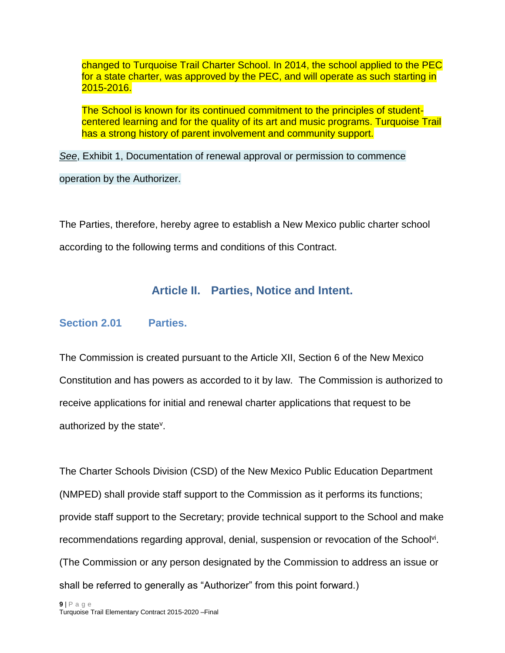changed to Turquoise Trail Charter School. In 2014, the school applied to the PEC for a state charter, was approved by the PEC, and will operate as such starting in 2015-2016.

The School is known for its continued commitment to the principles of studentcentered learning and for the quality of its art and music programs. Turquoise Trail has a strong history of parent involvement and community support.

*See*, Exhibit 1, Documentation of renewal approval or permission to commence

operation by the Authorizer.

<span id="page-8-0"></span>The Parties, therefore, hereby agree to establish a New Mexico public charter school according to the following terms and conditions of this Contract.

# **Article II. Parties, Notice and Intent.**

## <span id="page-8-1"></span>**Section 2.01 Parties.**

The Commission is created pursuant to the Article XII, Section 6 of the New Mexico Constitution and has powers as accorded to it by law. The Commission is authorized to receive applications for initial and renewal charter applications that request to be authorized by the state<sup>v</sup>.

The Charter Schools Division (CSD) of the New Mexico Public Education Department (NMPED) shall provide staff support to the Commission as it performs its functions; provide staff support to the Secretary; provide technical support to the School and make recommendations regarding approval, denial, suspension or revocation of the School<sup>vi</sup>. (The Commission or any person designated by the Commission to address an issue or shall be referred to generally as "Authorizer" from this point forward.)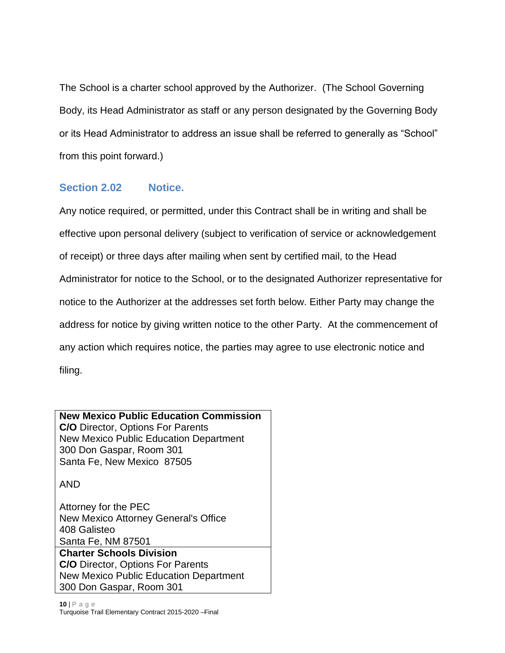The School is a charter school approved by the Authorizer. (The School Governing Body, its Head Administrator as staff or any person designated by the Governing Body or its Head Administrator to address an issue shall be referred to generally as "School" from this point forward.)

# <span id="page-9-0"></span>**Section 2.02 Notice.**

Any notice required, or permitted, under this Contract shall be in writing and shall be effective upon personal delivery (subject to verification of service or acknowledgement of receipt) or three days after mailing when sent by certified mail, to the Head Administrator for notice to the School, or to the designated Authorizer representative for notice to the Authorizer at the addresses set forth below. Either Party may change the address for notice by giving written notice to the other Party. At the commencement of any action which requires notice, the parties may agree to use electronic notice and filing.

#### **New Mexico Public Education Commission**

**C/O** Director, Options For Parents New Mexico Public Education Department 300 Don Gaspar, Room 301 Santa Fe, New Mexico 87505

AND

Attorney for the PEC New Mexico Attorney General's Office 408 Galisteo Santa Fe, NM 87501 **Charter Schools Division C/O** Director, Options For Parents New Mexico Public Education Department 300 Don Gaspar, Room 301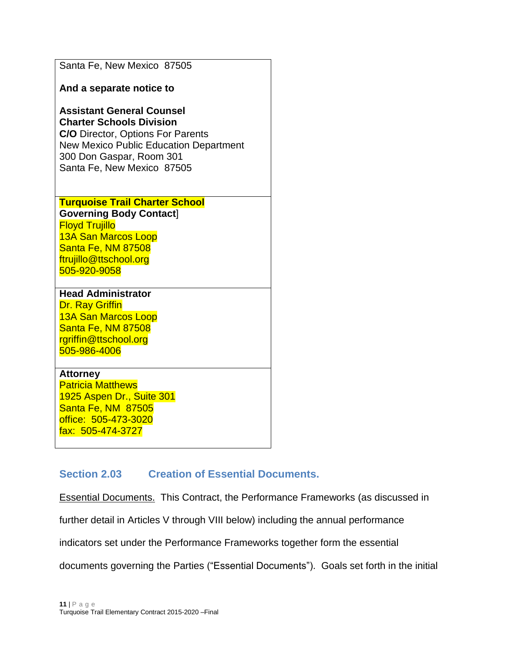|  |  |  | Santa Fe, New Mexico 87505 |  |
|--|--|--|----------------------------|--|
|--|--|--|----------------------------|--|

**And a separate notice to**

# **Assistant General Counsel Charter Schools Division**

**C/O** Director, Options For Parents New Mexico Public Education Department 300 Don Gaspar, Room 301 Santa Fe, New Mexico 87505

#### **Turquoise Trail Charter School Governing Body Contact**] Floyd Trujillo 13A San Marcos Loop Santa Fe, NM 87508 ftrujillo@ttschool.org 505-920-9058

#### **Head Administrator**

Dr. Ray Griffin 13A San Marcos Loop Santa Fe, NM 87508 rgriffin@ttschool.org 505-986-4006

#### **Attorney**

Patricia Matthews 1925 Aspen Dr., Suite 301 Santa Fe, NM 87505 office: 505-473-3020 fax: 505-474-3727

# <span id="page-10-0"></span>**Section 2.03 Creation of Essential Documents.**

Essential Documents. This Contract, the Performance Frameworks (as discussed in

further detail in Articles V through VIII below) including the annual performance

indicators set under the Performance Frameworks together form the essential

documents governing the Parties ("Essential Documents"). Goals set forth in the initial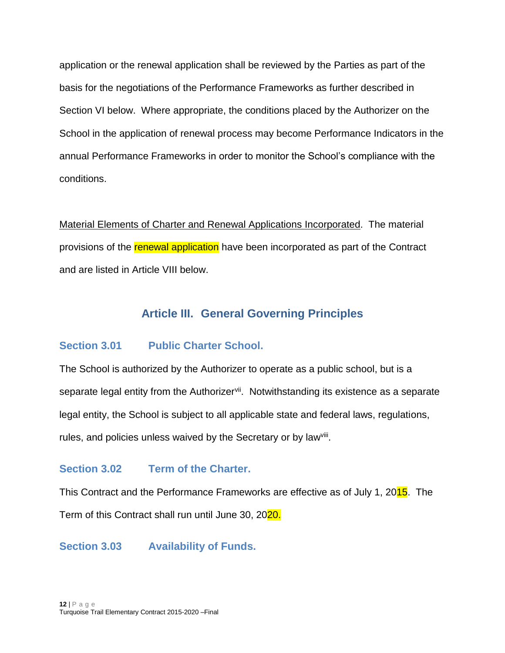application or the renewal application shall be reviewed by the Parties as part of the basis for the negotiations of the Performance Frameworks as further described in Section VI below. Where appropriate, the conditions placed by the Authorizer on the School in the application of renewal process may become Performance Indicators in the annual Performance Frameworks in order to monitor the School's compliance with the conditions.

Material Elements of Charter and Renewal Applications Incorporated. The material provisions of the renewal application have been incorporated as part of the Contract and are listed in Article VIII below.

# **Article III. General Governing Principles**

#### <span id="page-11-1"></span><span id="page-11-0"></span>**Section 3.01 Public Charter School.**

The School is authorized by the Authorizer to operate as a public school, but is a separate legal entity from the Authorizer<sup>vii</sup>. Notwithstanding its existence as a separate legal entity, the School is subject to all applicable state and federal laws, regulations, rules, and policies unless waived by the Secretary or by law<sup>viii</sup>.

#### <span id="page-11-2"></span>**Section 3.02 Term of the Charter.**

This Contract and the Performance Frameworks are effective as of July 1, 2015. The Term of this Contract shall run until June 30, 2020.

<span id="page-11-3"></span>**Section 3.03 Availability of Funds.**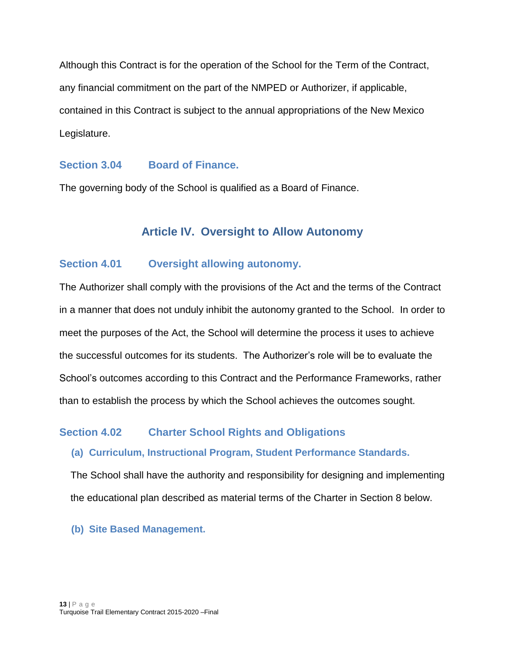Although this Contract is for the operation of the School for the Term of the Contract, any financial commitment on the part of the NMPED or Authorizer, if applicable, contained in this Contract is subject to the annual appropriations of the New Mexico Legislature.

#### <span id="page-12-0"></span>**Section 3.04 Board of Finance.**

<span id="page-12-1"></span>The governing body of the School is qualified as a Board of Finance.

# **Article IV. Oversight to Allow Autonomy**

#### <span id="page-12-2"></span>**Section 4.01 Oversight allowing autonomy.**

The Authorizer shall comply with the provisions of the Act and the terms of the Contract in a manner that does not unduly inhibit the autonomy granted to the School. In order to meet the purposes of the Act, the School will determine the process it uses to achieve the successful outcomes for its students. The Authorizer's role will be to evaluate the School's outcomes according to this Contract and the Performance Frameworks, rather than to establish the process by which the School achieves the outcomes sought.

#### <span id="page-12-4"></span><span id="page-12-3"></span>**Section 4.02 Charter School Rights and Obligations**

#### **(a) Curriculum, Instructional Program, Student Performance Standards.**

The School shall have the authority and responsibility for designing and implementing the educational plan described as material terms of the Charter in Section 8 below.

<span id="page-12-5"></span>**(b) Site Based Management.**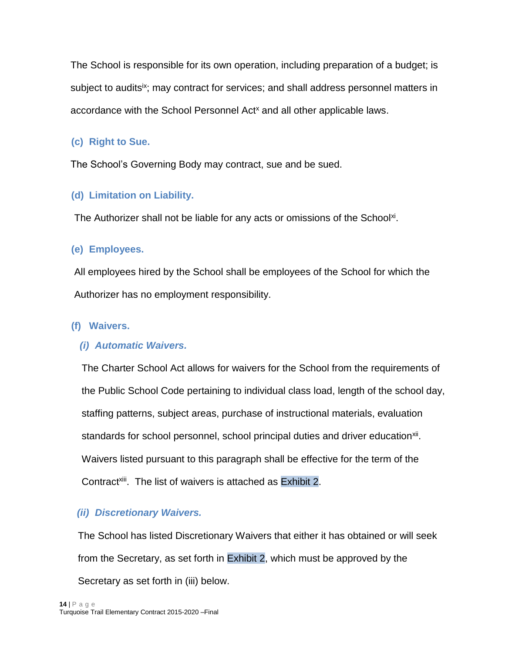The School is responsible for its own operation, including preparation of a budget; is subject to audits<sup>ix</sup>; may contract for services; and shall address personnel matters in accordance with the School Personnel Act<sup>x</sup> and all other applicable laws.

# <span id="page-13-0"></span>**(c) Right to Sue.**

The School's Governing Body may contract, sue and be sued.

# <span id="page-13-1"></span>**(d) Limitation on Liability.**

The Authorizer shall not be liable for any acts or omissions of the School<sup>xi</sup>.

# <span id="page-13-2"></span>**(e) Employees.**

All employees hired by the School shall be employees of the School for which the Authorizer has no employment responsibility.

# <span id="page-13-3"></span>**(f) Waivers.**

# *(i) Automatic Waivers.*

The Charter School Act allows for waivers for the School from the requirements of the Public School Code pertaining to individual class load, length of the school day, staffing patterns, subject areas, purchase of instructional materials, evaluation standards for school personnel, school principal duties and driver education<sup>xii</sup>. Waivers listed pursuant to this paragraph shall be effective for the term of the Contract<sup>xiii</sup>. The list of waivers is attached as Exhibit 2.

# *(ii) Discretionary Waivers.*

The School has listed Discretionary Waivers that either it has obtained or will seek from the Secretary, as set forth in Exhibit 2, which must be approved by the Secretary as set forth in (iii) below.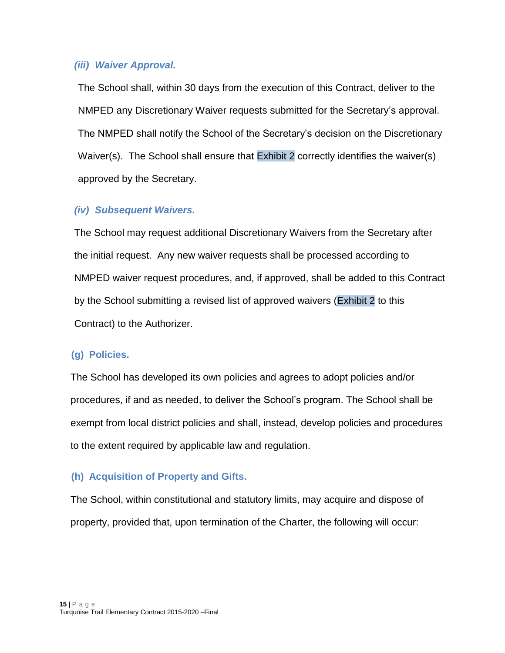#### *(iii) Waiver Approval.*

The School shall, within 30 days from the execution of this Contract, deliver to the NMPED any Discretionary Waiver requests submitted for the Secretary's approval. The NMPED shall notify the School of the Secretary's decision on the Discretionary Waiver(s). The School shall ensure that Exhibit 2 correctly identifies the waiver(s) approved by the Secretary.

## *(iv) Subsequent Waivers.*

The School may request additional Discretionary Waivers from the Secretary after the initial request. Any new waiver requests shall be processed according to NMPED waiver request procedures, and, if approved, shall be added to this Contract by the School submitting a revised list of approved waivers (Exhibit 2 to this Contract) to the Authorizer.

#### <span id="page-14-0"></span>**(g) Policies.**

The School has developed its own policies and agrees to adopt policies and/or procedures, if and as needed, to deliver the School's program. The School shall be exempt from local district policies and shall, instead, develop policies and procedures to the extent required by applicable law and regulation.

#### <span id="page-14-1"></span>**(h) Acquisition of Property and Gifts.**

The School, within constitutional and statutory limits, may acquire and dispose of property, provided that, upon termination of the Charter, the following will occur: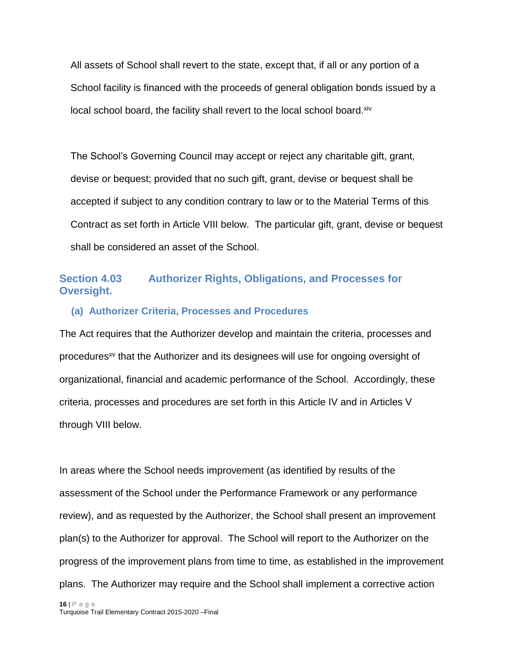All assets of School shall revert to the state, except that, if all or any portion of a School facility is financed with the proceeds of general obligation bonds issued by a local school board, the facility shall revert to the local school board. Xiv

The School's Governing Council may accept or reject any charitable gift, grant, devise or bequest; provided that no such gift, grant, devise or bequest shall be accepted if subject to any condition contrary to law or to the Material Terms of this Contract as set forth in Article VIII below. The particular gift, grant, devise or bequest shall be considered an asset of the School.

# <span id="page-15-0"></span>**Section 4.03 Authorizer Rights, Obligations, and Processes for Oversight.**

#### <span id="page-15-1"></span>**(a) Authorizer Criteria, Processes and Procedures**

The Act requires that the Authorizer develop and maintain the criteria, processes and procedures<sup>xv</sup> that the Authorizer and its designees will use for ongoing oversight of organizational, financial and academic performance of the School. Accordingly, these criteria, processes and procedures are set forth in this Article IV and in Articles V through VIII below.

In areas where the School needs improvement (as identified by results of the assessment of the School under the Performance Framework or any performance review), and as requested by the Authorizer, the School shall present an improvement plan(s) to the Authorizer for approval. The School will report to the Authorizer on the progress of the improvement plans from time to time, as established in the improvement plans. The Authorizer may require and the School shall implement a corrective action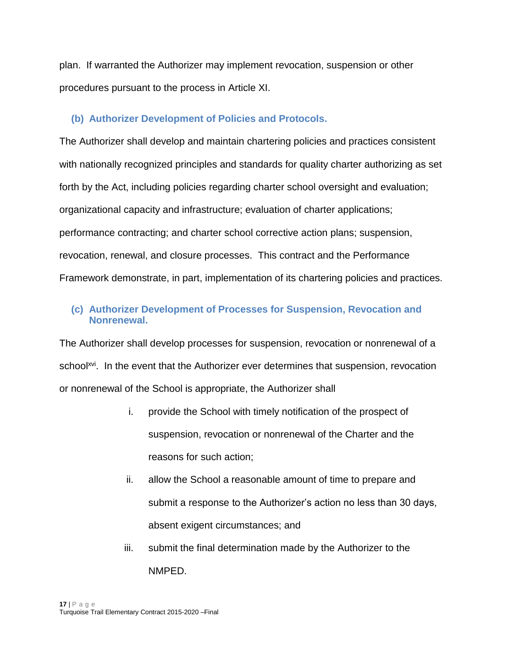plan. If warranted the Authorizer may implement revocation, suspension or other procedures pursuant to the process in Article XI.

## <span id="page-16-0"></span>**(b) Authorizer Development of Policies and Protocols.**

The Authorizer shall develop and maintain chartering policies and practices consistent with nationally recognized principles and standards for quality charter authorizing as set forth by the Act, including policies regarding charter school oversight and evaluation; organizational capacity and infrastructure; evaluation of charter applications; performance contracting; and charter school corrective action plans; suspension, revocation, renewal, and closure processes. This contract and the Performance Framework demonstrate, in part, implementation of its chartering policies and practices.

#### <span id="page-16-1"></span>**(c) Authorizer Development of Processes for Suspension, Revocation and Nonrenewal.**

The Authorizer shall develop processes for suspension, revocation or nonrenewal of a school<sup>xvi</sup>. In the event that the Authorizer ever determines that suspension, revocation or nonrenewal of the School is appropriate, the Authorizer shall

- i. provide the School with timely notification of the prospect of suspension, revocation or nonrenewal of the Charter and the reasons for such action;
- ii. allow the School a reasonable amount of time to prepare and submit a response to the Authorizer's action no less than 30 days, absent exigent circumstances; and
- iii. submit the final determination made by the Authorizer to the NMPED.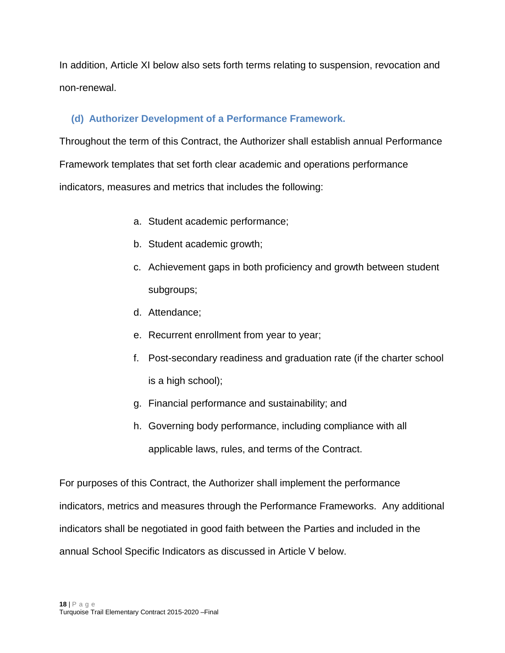In addition, Article XI below also sets forth terms relating to suspension, revocation and non-renewal.

# <span id="page-17-0"></span>**(d) Authorizer Development of a Performance Framework.**

Throughout the term of this Contract, the Authorizer shall establish annual Performance Framework templates that set forth clear academic and operations performance indicators, measures and metrics that includes the following:

- a. Student academic performance;
- b. Student academic growth;
- c. Achievement gaps in both proficiency and growth between student subgroups;
- d. Attendance;
- e. Recurrent enrollment from year to year;
- f. Post-secondary readiness and graduation rate (if the charter school is a high school);
- g. Financial performance and sustainability; and
- h. Governing body performance, including compliance with all applicable laws, rules, and terms of the Contract.

For purposes of this Contract, the Authorizer shall implement the performance indicators, metrics and measures through the Performance Frameworks. Any additional indicators shall be negotiated in good faith between the Parties and included in the annual School Specific Indicators as discussed in Article V below.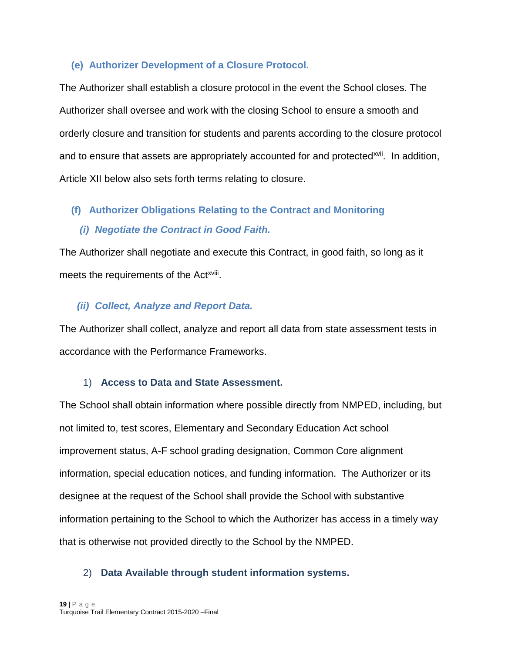#### <span id="page-18-0"></span>**(e) Authorizer Development of a Closure Protocol.**

The Authorizer shall establish a closure protocol in the event the School closes. The Authorizer shall oversee and work with the closing School to ensure a smooth and orderly closure and transition for students and parents according to the closure protocol and to ensure that assets are appropriately accounted for and protected<sup>xvii</sup>. In addition, Article XII below also sets forth terms relating to closure.

#### <span id="page-18-1"></span>**(f) Authorizer Obligations Relating to the Contract and Monitoring**

#### *(i) Negotiate the Contract in Good Faith.*

The Authorizer shall negotiate and execute this Contract, in good faith, so long as it meets the requirements of the Act<sup>xviii</sup>.

#### *(ii) Collect, Analyze and Report Data.*

The Authorizer shall collect, analyze and report all data from state assessment tests in accordance with the Performance Frameworks.

#### 1) **Access to Data and State Assessment.**

The School shall obtain information where possible directly from NMPED, including, but not limited to, test scores, Elementary and Secondary Education Act school improvement status, A-F school grading designation, Common Core alignment information, special education notices, and funding information. The Authorizer or its designee at the request of the School shall provide the School with substantive information pertaining to the School to which the Authorizer has access in a timely way that is otherwise not provided directly to the School by the NMPED.

#### 2) **Data Available through student information systems.**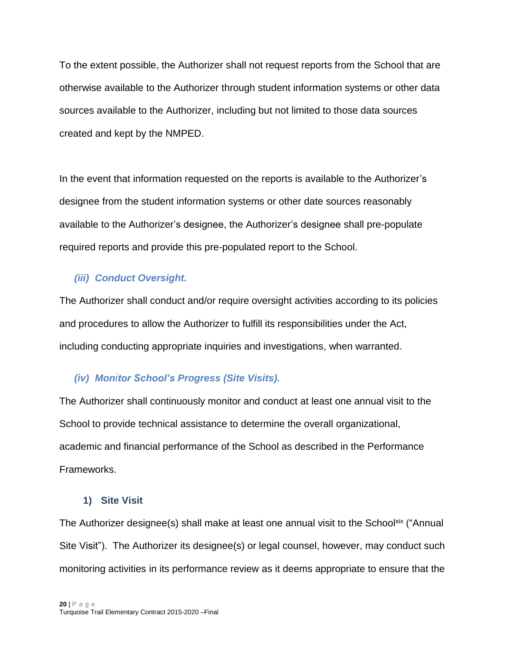To the extent possible, the Authorizer shall not request reports from the School that are otherwise available to the Authorizer through student information systems or other data sources available to the Authorizer, including but not limited to those data sources created and kept by the NMPED.

In the event that information requested on the reports is available to the Authorizer's designee from the student information systems or other date sources reasonably available to the Authorizer's designee, the Authorizer's designee shall pre-populate required reports and provide this pre-populated report to the School.

# *(iii) Conduct Oversight.*

The Authorizer shall conduct and/or require oversight activities according to its policies and procedures to allow the Authorizer to fulfill its responsibilities under the Act, including conducting appropriate inquiries and investigations, when warranted.

# *(iv) Monitor School's Progress (Site Visits).*

The Authorizer shall continuously monitor and conduct at least one annual visit to the School to provide technical assistance to determine the overall organizational, academic and financial performance of the School as described in the Performance Frameworks.

#### **1) Site Visit**

The Authorizer designee(s) shall make at least one annual visit to the School<sup>xix</sup> ("Annual Site Visit"). The Authorizer its designee(s) or legal counsel, however, may conduct such monitoring activities in its performance review as it deems appropriate to ensure that the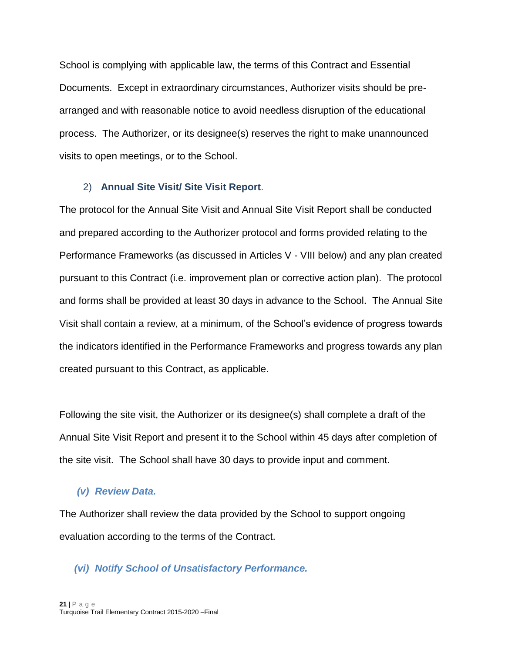School is complying with applicable law, the terms of this Contract and Essential Documents. Except in extraordinary circumstances, Authorizer visits should be prearranged and with reasonable notice to avoid needless disruption of the educational process. The Authorizer, or its designee(s) reserves the right to make unannounced visits to open meetings, or to the School.

#### 2) **Annual Site Visit/ Site Visit Report**.

The protocol for the Annual Site Visit and Annual Site Visit Report shall be conducted and prepared according to the Authorizer protocol and forms provided relating to the Performance Frameworks (as discussed in Articles V - VIII below) and any plan created pursuant to this Contract (i.e. improvement plan or corrective action plan). The protocol and forms shall be provided at least 30 days in advance to the School. The Annual Site Visit shall contain a review, at a minimum, of the School's evidence of progress towards the indicators identified in the Performance Frameworks and progress towards any plan created pursuant to this Contract, as applicable.

Following the site visit, the Authorizer or its designee(s) shall complete a draft of the Annual Site Visit Report and present it to the School within 45 days after completion of the site visit. The School shall have 30 days to provide input and comment.

#### *(v) Review Data.*

The Authorizer shall review the data provided by the School to support ongoing evaluation according to the terms of the Contract.

#### *(vi) Notify School of Unsatisfactory Performance.*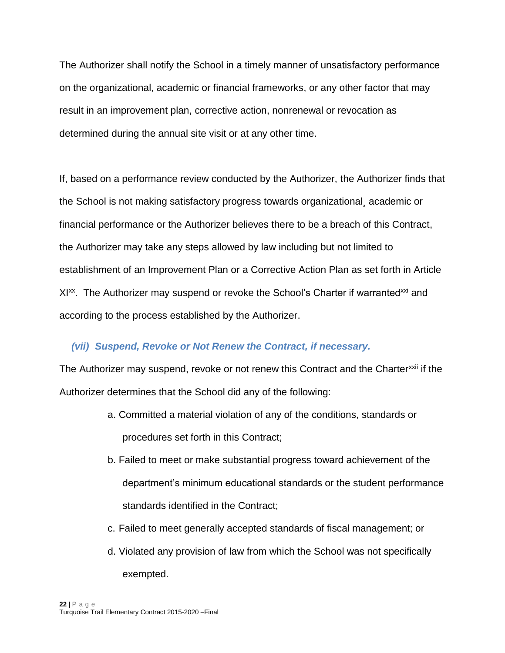The Authorizer shall notify the School in a timely manner of unsatisfactory performance on the organizational, academic or financial frameworks, or any other factor that may result in an improvement plan, corrective action, nonrenewal or revocation as determined during the annual site visit or at any other time.

If, based on a performance review conducted by the Authorizer, the Authorizer finds that the School is not making satisfactory progress towards organizational¸ academic or financial performance or the Authorizer believes there to be a breach of this Contract, the Authorizer may take any steps allowed by law including but not limited to establishment of an Improvement Plan or a Corrective Action Plan as set forth in Article XI<sup>xx</sup>. The Authorizer may suspend or revoke the School's Charter if warranted<sup>xxi</sup> and according to the process established by the Authorizer.

#### *(vii) Suspend, Revoke or Not Renew the Contract, if necessary.*

The Authorizer may suspend, revoke or not renew this Contract and the Charter<sup>xxii</sup> if the Authorizer determines that the School did any of the following:

- a. Committed a material violation of any of the conditions, standards or procedures set forth in this Contract;
- b. Failed to meet or make substantial progress toward achievement of the department's minimum educational standards or the student performance standards identified in the Contract;
- c. Failed to meet generally accepted standards of fiscal management; or
- d. Violated any provision of law from which the School was not specifically exempted.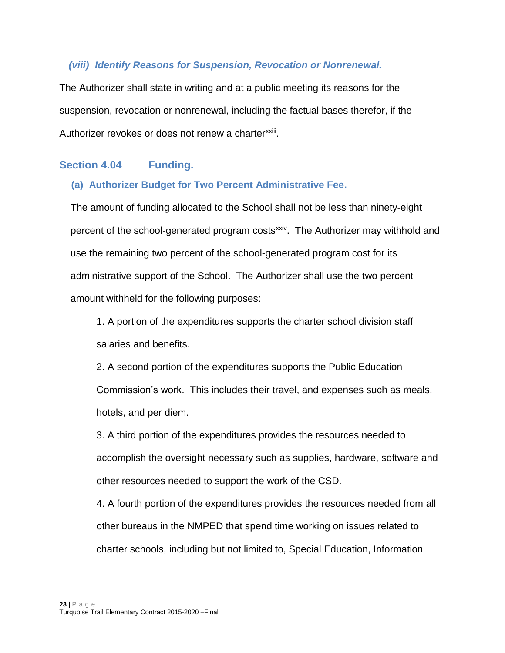#### *(viii) Identify Reasons for Suspension, Revocation or Nonrenewal.*

The Authorizer shall state in writing and at a public meeting its reasons for the suspension, revocation or nonrenewal, including the factual bases therefor, if the Authorizer revokes or does not renew a charter<sup>xxiii</sup>.

#### <span id="page-22-1"></span><span id="page-22-0"></span>**Section 4.04 Funding.**

#### **(a) Authorizer Budget for Two Percent Administrative Fee.**

The amount of funding allocated to the School shall not be less than ninety-eight percent of the school-generated program costs<sup>xxiv</sup>. The Authorizer may withhold and use the remaining two percent of the school-generated program cost for its administrative support of the School. The Authorizer shall use the two percent amount withheld for the following purposes:

1. A portion of the expenditures supports the charter school division staff salaries and benefits.

2. A second portion of the expenditures supports the Public Education Commission's work. This includes their travel, and expenses such as meals, hotels, and per diem.

3. A third portion of the expenditures provides the resources needed to accomplish the oversight necessary such as supplies, hardware, software and other resources needed to support the work of the CSD.

4. A fourth portion of the expenditures provides the resources needed from all other bureaus in the NMPED that spend time working on issues related to charter schools, including but not limited to, Special Education, Information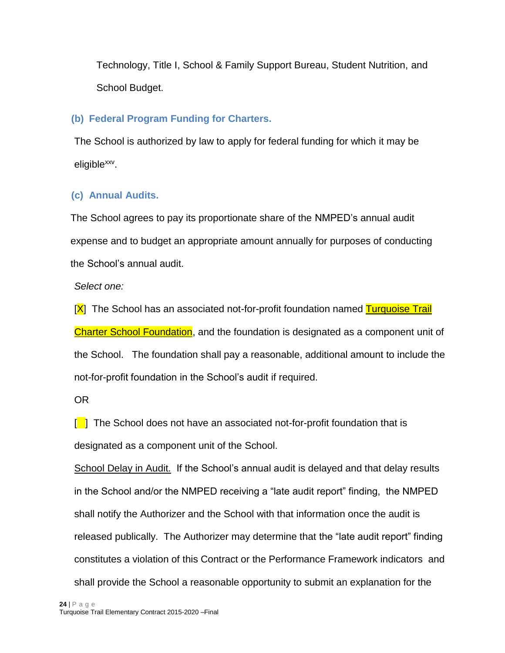Technology, Title I, School & Family Support Bureau, Student Nutrition, and School Budget.

# <span id="page-23-0"></span>**(b) Federal Program Funding for Charters.**

The School is authorized by law to apply for federal funding for which it may be eligible<sup>xxv</sup>.

# <span id="page-23-1"></span>**(c) Annual Audits.**

The School agrees to pay its proportionate share of the NMPED's annual audit expense and to budget an appropriate amount annually for purposes of conducting the School's annual audit.

*Select one:*

[X] The School has an associated not-for-profit foundation named Turquoise Trail Charter School Foundation, and the foundation is designated as a component unit of the School. The foundation shall pay a reasonable, additional amount to include the not-for-profit foundation in the School's audit if required.

OR

 $\lceil \cdot \rceil$  The School does not have an associated not-for-profit foundation that is designated as a component unit of the School.

School Delay in Audit. If the School's annual audit is delayed and that delay results in the School and/or the NMPED receiving a "late audit report" finding, the NMPED shall notify the Authorizer and the School with that information once the audit is released publically. The Authorizer may determine that the "late audit report" finding constitutes a violation of this Contract or the Performance Framework indicators and shall provide the School a reasonable opportunity to submit an explanation for the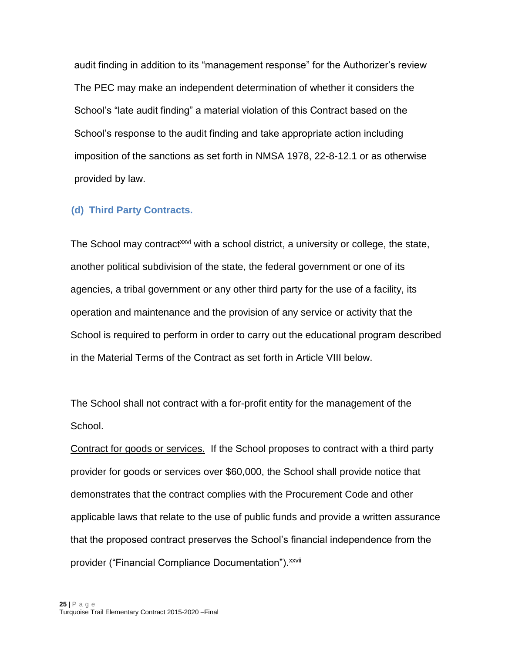audit finding in addition to its "management response" for the Authorizer's review The PEC may make an independent determination of whether it considers the School's "late audit finding" a material violation of this Contract based on the School's response to the audit finding and take appropriate action including imposition of the sanctions as set forth in NMSA 1978, 22-8-12.1 or as otherwise provided by law.

#### <span id="page-24-0"></span>**(d) Third Party Contracts.**

The School may contract<sup>xxvi</sup> with a school district, a university or college, the state, another political subdivision of the state, the federal government or one of its agencies, a tribal government or any other third party for the use of a facility, its operation and maintenance and the provision of any service or activity that the School is required to perform in order to carry out the educational program described in the Material Terms of the Contract as set forth in Article VIII below.

The School shall not contract with a for-profit entity for the management of the School.

Contract for goods or services. If the School proposes to contract with a third party provider for goods or services over \$60,000, the School shall provide notice that demonstrates that the contract complies with the Procurement Code and other applicable laws that relate to the use of public funds and provide a written assurance that the proposed contract preserves the School's financial independence from the provider ("Financial Compliance Documentation").<sup>xxvii</sup>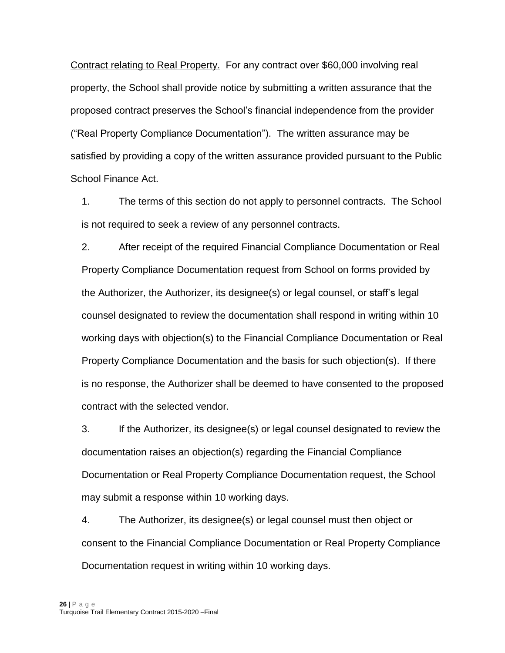Contract relating to Real Property. For any contract over \$60,000 involving real property, the School shall provide notice by submitting a written assurance that the proposed contract preserves the School's financial independence from the provider ("Real Property Compliance Documentation"). The written assurance may be satisfied by providing a copy of the written assurance provided pursuant to the Public School Finance Act.

1. The terms of this section do not apply to personnel contracts. The School is not required to seek a review of any personnel contracts.

2. After receipt of the required Financial Compliance Documentation or Real Property Compliance Documentation request from School on forms provided by the Authorizer, the Authorizer, its designee(s) or legal counsel, or staff's legal counsel designated to review the documentation shall respond in writing within 10 working days with objection(s) to the Financial Compliance Documentation or Real Property Compliance Documentation and the basis for such objection(s). If there is no response, the Authorizer shall be deemed to have consented to the proposed contract with the selected vendor.

3. If the Authorizer, its designee(s) or legal counsel designated to review the documentation raises an objection(s) regarding the Financial Compliance Documentation or Real Property Compliance Documentation request, the School may submit a response within 10 working days.

4. The Authorizer, its designee(s) or legal counsel must then object or consent to the Financial Compliance Documentation or Real Property Compliance Documentation request in writing within 10 working days.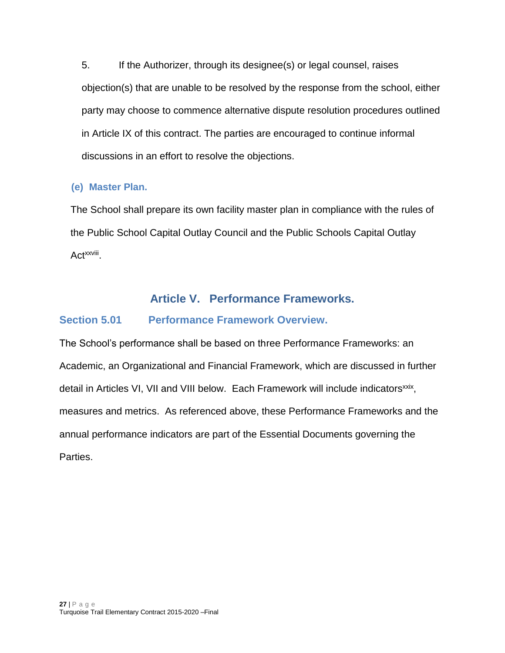5. If the Authorizer, through its designee(s) or legal counsel, raises objection(s) that are unable to be resolved by the response from the school, either party may choose to commence alternative dispute resolution procedures outlined in Article IX of this contract. The parties are encouraged to continue informal discussions in an effort to resolve the objections.

## <span id="page-26-0"></span>**(e) Master Plan.**

The School shall prepare its own facility master plan in compliance with the rules of the Public School Capital Outlay Council and the Public Schools Capital Outlay Act<sup>xxviii</sup>.

# **Article V. Performance Frameworks.**

## <span id="page-26-2"></span><span id="page-26-1"></span>**Section 5.01 Performance Framework Overview.**

The School's performance shall be based on three Performance Frameworks: an Academic, an Organizational and Financial Framework, which are discussed in further detail in Articles VI, VII and VIII below. Each Framework will include indicators<sup>xxix</sup>, measures and metrics. As referenced above, these Performance Frameworks and the annual performance indicators are part of the Essential Documents governing the Parties.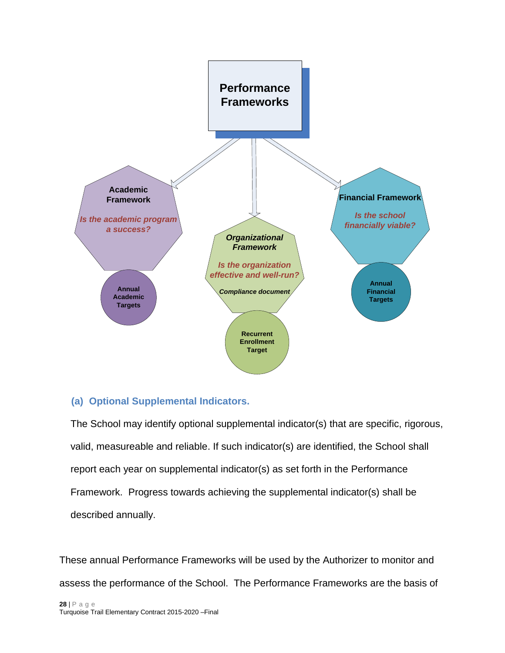

#### <span id="page-27-0"></span>**(a) Optional Supplemental Indicators.**

The School may identify optional supplemental indicator(s) that are specific, rigorous, valid, measureable and reliable. If such indicator(s) are identified, the School shall report each year on supplemental indicator(s) as set forth in the Performance Framework. Progress towards achieving the supplemental indicator(s) shall be described annually.

These annual Performance Frameworks will be used by the Authorizer to monitor and assess the performance of the School. The Performance Frameworks are the basis of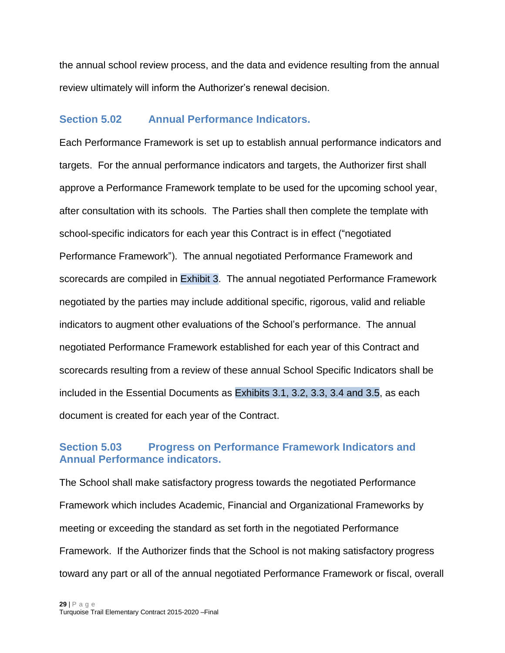the annual school review process, and the data and evidence resulting from the annual review ultimately will inform the Authorizer's renewal decision.

#### <span id="page-28-0"></span>**Section 5.02 Annual Performance Indicators.**

Each Performance Framework is set up to establish annual performance indicators and targets. For the annual performance indicators and targets, the Authorizer first shall approve a Performance Framework template to be used for the upcoming school year, after consultation with its schools. The Parties shall then complete the template with school-specific indicators for each year this Contract is in effect ("negotiated Performance Framework"). The annual negotiated Performance Framework and scorecards are compiled in Exhibit 3. The annual negotiated Performance Framework negotiated by the parties may include additional specific, rigorous, valid and reliable indicators to augment other evaluations of the School's performance. The annual negotiated Performance Framework established for each year of this Contract and scorecards resulting from a review of these annual School Specific Indicators shall be included in the Essential Documents as Exhibits 3.1, 3.2, 3.3, 3.4 and 3.5, as each document is created for each year of the Contract.

## <span id="page-28-1"></span>**Section 5.03 Progress on Performance Framework Indicators and Annual Performance indicators.**

The School shall make satisfactory progress towards the negotiated Performance Framework which includes Academic, Financial and Organizational Frameworks by meeting or exceeding the standard as set forth in the negotiated Performance Framework. If the Authorizer finds that the School is not making satisfactory progress toward any part or all of the annual negotiated Performance Framework or fiscal, overall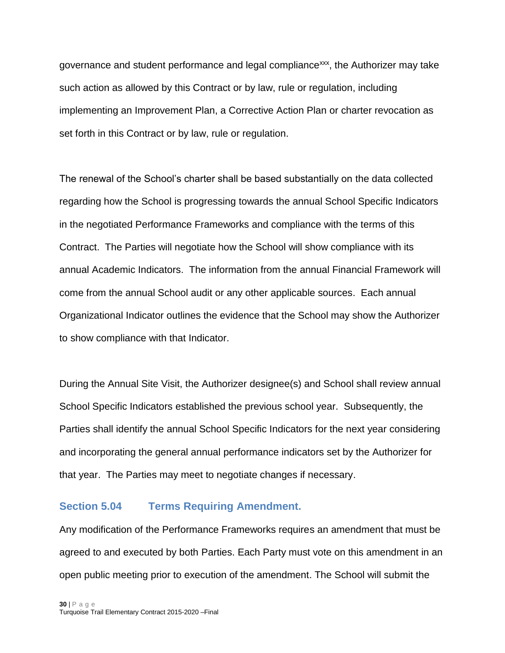governance and student performance and legal compliance<sup>xxx</sup>, the Authorizer may take such action as allowed by this Contract or by law, rule or regulation, including implementing an Improvement Plan, a Corrective Action Plan or charter revocation as set forth in this Contract or by law, rule or regulation.

The renewal of the School's charter shall be based substantially on the data collected regarding how the School is progressing towards the annual School Specific Indicators in the negotiated Performance Frameworks and compliance with the terms of this Contract. The Parties will negotiate how the School will show compliance with its annual Academic Indicators. The information from the annual Financial Framework will come from the annual School audit or any other applicable sources. Each annual Organizational Indicator outlines the evidence that the School may show the Authorizer to show compliance with that Indicator.

During the Annual Site Visit, the Authorizer designee(s) and School shall review annual School Specific Indicators established the previous school year. Subsequently, the Parties shall identify the annual School Specific Indicators for the next year considering and incorporating the general annual performance indicators set by the Authorizer for that year. The Parties may meet to negotiate changes if necessary.

#### <span id="page-29-0"></span>**Section 5.04 Terms Requiring Amendment.**

Any modification of the Performance Frameworks requires an amendment that must be agreed to and executed by both Parties. Each Party must vote on this amendment in an open public meeting prior to execution of the amendment. The School will submit the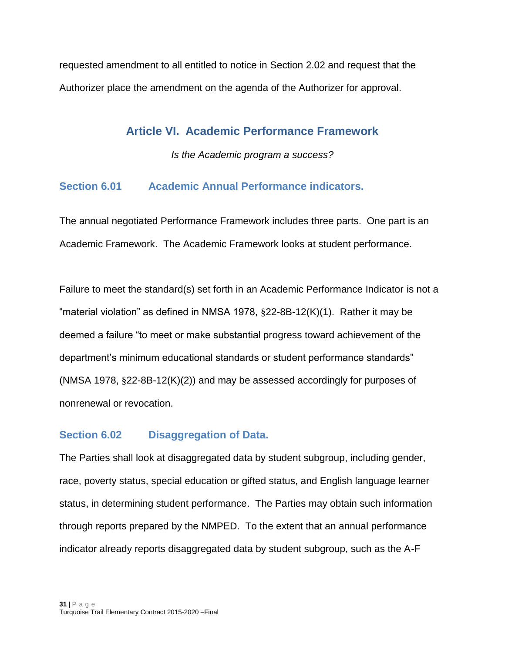<span id="page-30-0"></span>requested amendment to all entitled to notice in Section 2.02 and request that the Authorizer place the amendment on the agenda of the Authorizer for approval.

# **Article VI. Academic Performance Framework**

*Is the Academic program a success?*

# <span id="page-30-1"></span>**Section 6.01 Academic Annual Performance indicators.**

The annual negotiated Performance Framework includes three parts. One part is an Academic Framework. The Academic Framework looks at student performance.

Failure to meet the standard(s) set forth in an Academic Performance Indicator is not a "material violation" as defined in NMSA 1978, §22-8B-12(K)(1). Rather it may be deemed a failure "to meet or make substantial progress toward achievement of the department's minimum educational standards or student performance standards" (NMSA 1978, §22-8B-12(K)(2)) and may be assessed accordingly for purposes of nonrenewal or revocation.

#### <span id="page-30-2"></span>**Section 6.02 Disaggregation of Data.**

The Parties shall look at disaggregated data by student subgroup, including gender, race, poverty status, special education or gifted status, and English language learner status, in determining student performance. The Parties may obtain such information through reports prepared by the NMPED. To the extent that an annual performance indicator already reports disaggregated data by student subgroup, such as the A-F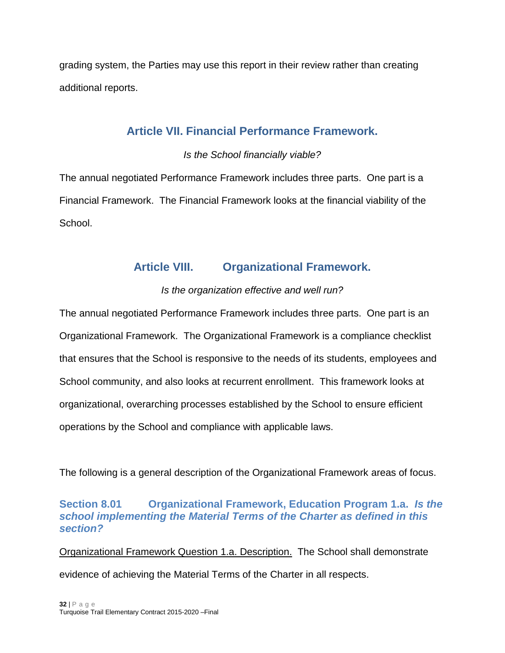<span id="page-31-0"></span>grading system, the Parties may use this report in their review rather than creating additional reports.

# **Article VII. Financial Performance Framework.**

# *Is the School financially viable?*

The annual negotiated Performance Framework includes three parts. One part is a Financial Framework. The Financial Framework looks at the financial viability of the School.

# **Article VIII. Organizational Framework.**

# *Is the organization effective and well run?*

<span id="page-31-1"></span>The annual negotiated Performance Framework includes three parts. One part is an Organizational Framework. The Organizational Framework is a compliance checklist that ensures that the School is responsive to the needs of its students, employees and School community, and also looks at recurrent enrollment. This framework looks at organizational, overarching processes established by the School to ensure efficient operations by the School and compliance with applicable laws.

The following is a general description of the Organizational Framework areas of focus.

## <span id="page-31-2"></span>**Section 8.01 Organizational Framework, Education Program 1.a.** *Is the school implementing the Material Terms of the Charter as defined in this section?*

Organizational Framework Question 1.a. Description. The School shall demonstrate evidence of achieving the Material Terms of the Charter in all respects.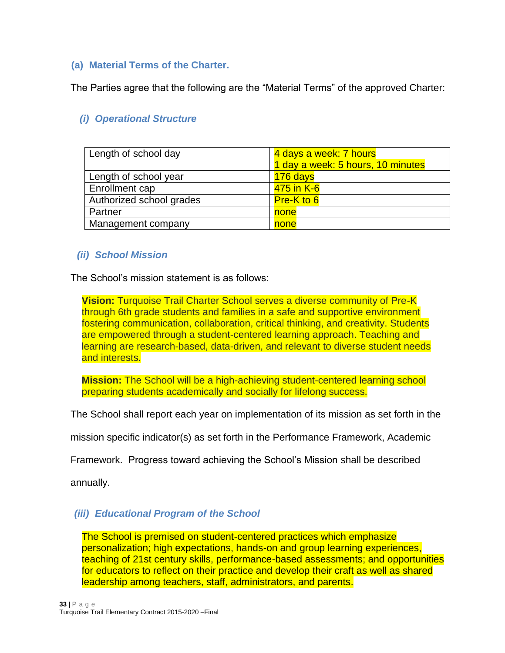#### <span id="page-32-0"></span>**(a) Material Terms of the Charter.**

The Parties agree that the following are the "Material Terms" of the approved Charter:

# *(i) Operational Structure*

| Length of school day     | 4 days a week: 7 hours            |  |
|--------------------------|-----------------------------------|--|
|                          | 1 day a week: 5 hours, 10 minutes |  |
| Length of school year    | 176 days                          |  |
| Enrollment cap           | 475 in K-6                        |  |
| Authorized school grades | Pre-K to 6                        |  |
| Partner                  | none                              |  |
| Management company       | none                              |  |

#### *(ii) School Mission*

The School's mission statement is as follows:

**Vision:** Turquoise Trail Charter School serves a diverse community of Pre-K through 6th grade students and families in a safe and supportive environment fostering communication, collaboration, critical thinking, and creativity. Students are empowered through a student-centered learning approach. Teaching and learning are research-based, data-driven, and relevant to diverse student needs and interests.

**Mission:** The School will be a high-achieving student-centered learning school preparing students academically and socially for lifelong success.

The School shall report each year on implementation of its mission as set forth in the

mission specific indicator(s) as set forth in the Performance Framework, Academic

Framework. Progress toward achieving the School's Mission shall be described

annually.

#### *(iii) Educational Program of the School*

The School is premised on student-centered practices which emphasize personalization; high expectations, hands-on and group learning experiences, teaching of 21st century skills, performance-based assessments; and opportunities for educators to reflect on their practice and develop their craft as well as shared leadership among teachers, staff, administrators, and parents.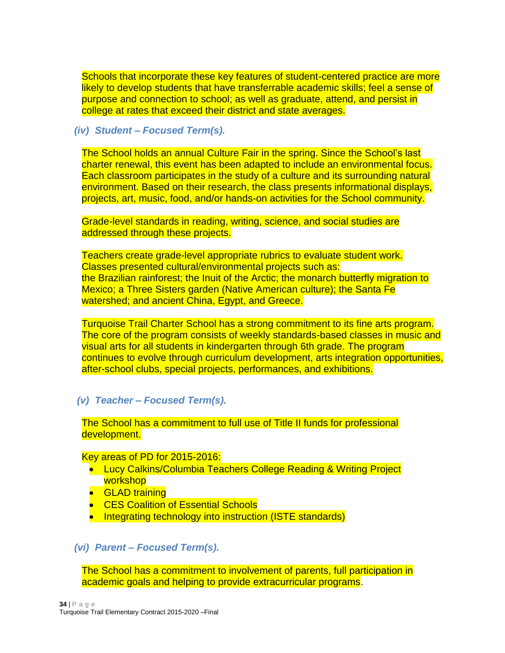Schools that incorporate these key features of student-centered practice are more likely to develop students that have transferrable academic skills; feel a sense of purpose and connection to school; as well as graduate, attend, and persist in college at rates that exceed their district and state averages.

#### *(iv) Student – Focused Term(s).*

The School holds an annual Culture Fair in the spring. Since the School's last charter renewal, this event has been adapted to include an environmental focus. Each classroom participates in the study of a culture and its surrounding natural environment. Based on their research, the class presents informational displays, projects, art, music, food, and/or hands-on activities for the School community.

Grade-level standards in reading, writing, science, and social studies are addressed through these projects.

Teachers create grade-level appropriate rubrics to evaluate student work. Classes presented cultural/environmental projects such as: the Brazilian rainforest; the Inuit of the Arctic; the monarch butterfly migration to Mexico; a Three Sisters garden (Native American culture); the Santa Fe watershed; and ancient China, Egypt, and Greece.

Turquoise Trail Charter School has a strong commitment to its fine arts program. The core of the program consists of weekly standards-based classes in music and visual arts for all students in kindergarten through 6th grade. The program continues to evolve through curriculum development, arts integration opportunities, after-school clubs, special projects, performances, and exhibitions.

#### *(v) Teacher – Focused Term(s).*

The School has a commitment to full use of Title II funds for professional development.

#### Key areas of PD for 2015-2016:

- Lucy Calkins/Columbia Teachers College Reading & Writing Project workshop
- **•** GLAD training
- CES Coalition of Essential Schools
- Integrating technology into instruction (ISTE standards)

#### *(vi) Parent – Focused Term(s).*

The School has a commitment to involvement of parents, full participation in academic goals and helping to provide extracurricular programs.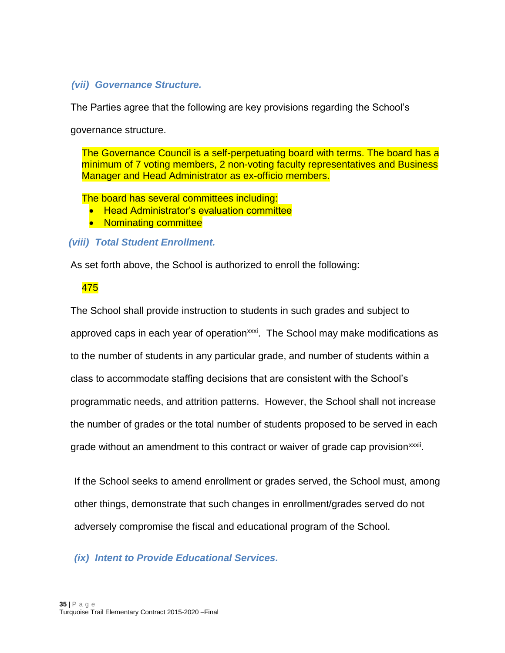#### *(vii) Governance Structure.*

The Parties agree that the following are key provisions regarding the School's

governance structure.

The Governance Council is a self-perpetuating board with terms. The board has a minimum of 7 voting members, 2 non-voting faculty representatives and Business Manager and Head Administrator as ex-officio members.

The board has several committees including:

- Head Administrator's evaluation committee
- Nominating committee

#### *(viii) Total Student Enrollment.*

As set forth above, the School is authorized to enroll the following:

#### 475

The School shall provide instruction to students in such grades and subject to approved caps in each year of operation<sup>xxxi</sup>. The School may make modifications as to the number of students in any particular grade, and number of students within a class to accommodate staffing decisions that are consistent with the School's programmatic needs, and attrition patterns. However, the School shall not increase the number of grades or the total number of students proposed to be served in each grade without an amendment to this contract or waiver of grade cap provision<sup>xxxii</sup>.

If the School seeks to amend enrollment or grades served, the School must, among other things, demonstrate that such changes in enrollment/grades served do not adversely compromise the fiscal and educational program of the School.

*(ix) Intent to Provide Educational Services.*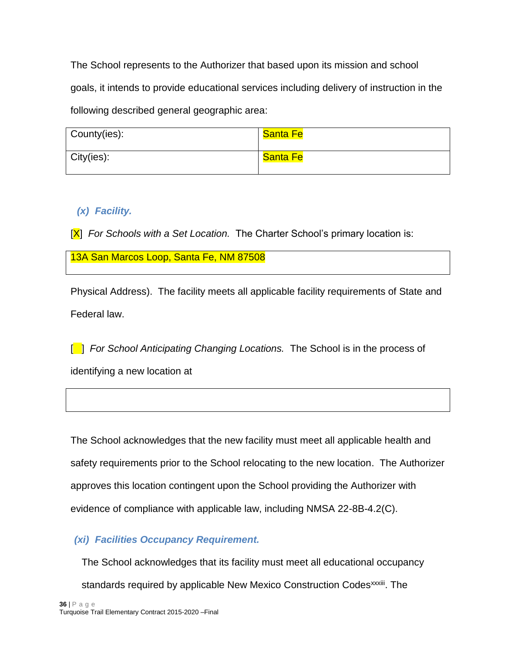The School represents to the Authorizer that based upon its mission and school goals, it intends to provide educational services including delivery of instruction in the following described general geographic area:

| County(ies): | Santa Fe |
|--------------|----------|
| City(ies):   | Santa Fe |

# *(x) Facility.*

[X] *For Schools with a Set Location.* The Charter School's primary location is:

13A San Marcos Loop, Santa Fe, NM 87508

Physical Address). The facility meets all applicable facility requirements of State and Federal law.

[<sup>1</sup>] *For School Anticipating Changing Locations.* The School is in the process of identifying a new location at

The School acknowledges that the new facility must meet all applicable health and safety requirements prior to the School relocating to the new location. The Authorizer approves this location contingent upon the School providing the Authorizer with evidence of compliance with applicable law, including NMSA 22-8B-4.2(C).

# *(xi) Facilities Occupancy Requirement.*

The School acknowledges that its facility must meet all educational occupancy

standards required by applicable New Mexico Construction Codes<sup>xxxiii</sup>. The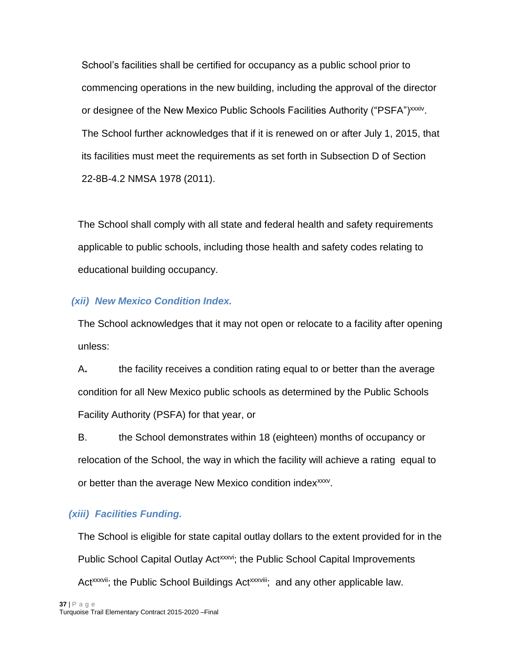School's facilities shall be certified for occupancy as a public school prior to commencing operations in the new building, including the approval of the director or designee of the New Mexico Public Schools Facilities Authority ("PSFA")<sup>xxxiv</sup>. The School further acknowledges that if it is renewed on or after July 1, 2015, that its facilities must meet the requirements as set forth in Subsection D of Section 22-8B-4.2 NMSA 1978 (2011).

The School shall comply with all state and federal health and safety requirements applicable to public schools, including those health and safety codes relating to educational building occupancy.

#### *(xii) New Mexico Condition Index.*

The School acknowledges that it may not open or relocate to a facility after opening unless:

A**.** the facility receives a condition rating equal to or better than the average condition for all New Mexico public schools as determined by the Public Schools Facility Authority (PSFA) for that year, or

B. the School demonstrates within 18 (eighteen) months of occupancy or relocation of the School, the way in which the facility will achieve a rating equal to or better than the average New Mexico condition index<sup>xxxv</sup>.

# *(xiii) Facilities Funding.*

The School is eligible for state capital outlay dollars to the extent provided for in the Public School Capital Outlay Act<sup>xxxvi</sup>; the Public School Capital Improvements Act<sup>xxxvii</sup>; the Public School Buildings Act<sup>xxxviii</sup>; and any other applicable law.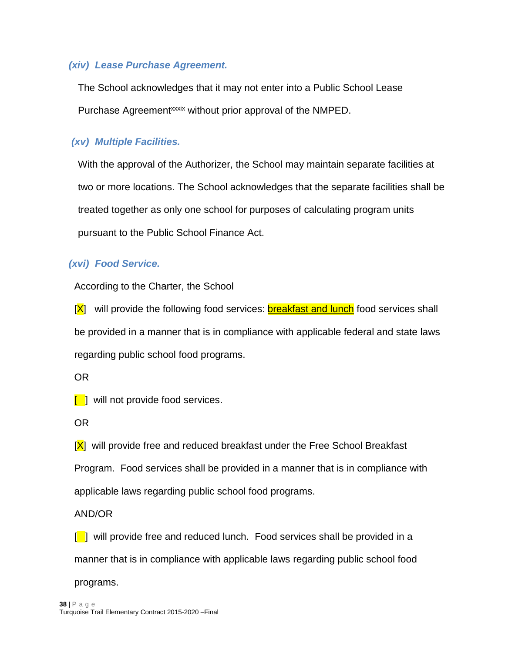#### *(xiv) Lease Purchase Agreement.*

The School acknowledges that it may not enter into a Public School Lease Purchase Agreement<sup>xxxix</sup> without prior approval of the NMPED.

#### *(xv) Multiple Facilities.*

With the approval of the Authorizer, the School may maintain separate facilities at two or more locations. The School acknowledges that the separate facilities shall be treated together as only one school for purposes of calculating program units pursuant to the Public School Finance Act.

## *(xvi) Food Service.*

According to the Charter, the School

[X] will provide the following food services: **breakfast and lunch** food services shall be provided in a manner that is in compliance with applicable federal and state laws regarding public school food programs.

OR

 $\lceil \cdot \rceil$  will not provide food services.

OR

 $[X]$  will provide free and reduced breakfast under the Free School Breakfast Program. Food services shall be provided in a manner that is in compliance with applicable laws regarding public school food programs.

AND/OR

 $\begin{bmatrix} 1 \end{bmatrix}$  will provide free and reduced lunch. Food services shall be provided in a manner that is in compliance with applicable laws regarding public school food programs.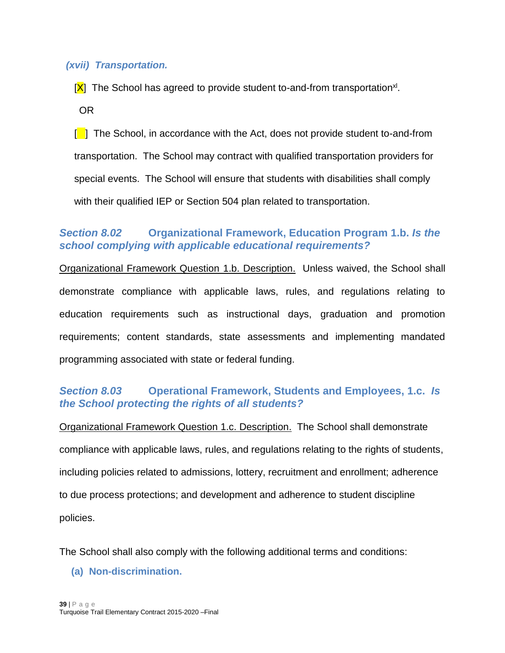#### *(xvii) Transportation.*

[X] The School has agreed to provide student to-and-from transportation<sup>xl</sup>.

OR

[ ]The School, in accordance with the Act, does not provide student to-and-from transportation. The School may contract with qualified transportation providers for special events. The School will ensure that students with disabilities shall comply with their qualified IEP or Section 504 plan related to transportation.

## <span id="page-38-0"></span>*Section 8.02* **Organizational Framework, Education Program 1.b.** *Is the school complying with applicable educational requirements?*

Organizational Framework Question 1.b. Description. Unless waived, the School shall demonstrate compliance with applicable laws, rules, and regulations relating to education requirements such as instructional days, graduation and promotion requirements; content standards, state assessments and implementing mandated programming associated with state or federal funding.

## <span id="page-38-1"></span>*Section 8.03* **Operational Framework, Students and Employees, 1.c.** *Is the School protecting the rights of all students?*

Organizational Framework Question 1.c. Description. The School shall demonstrate compliance with applicable laws, rules, and regulations relating to the rights of students, including policies related to admissions, lottery, recruitment and enrollment; adherence to due process protections; and development and adherence to student discipline policies.

<span id="page-38-2"></span>The School shall also comply with the following additional terms and conditions:

**(a) Non-discrimination.**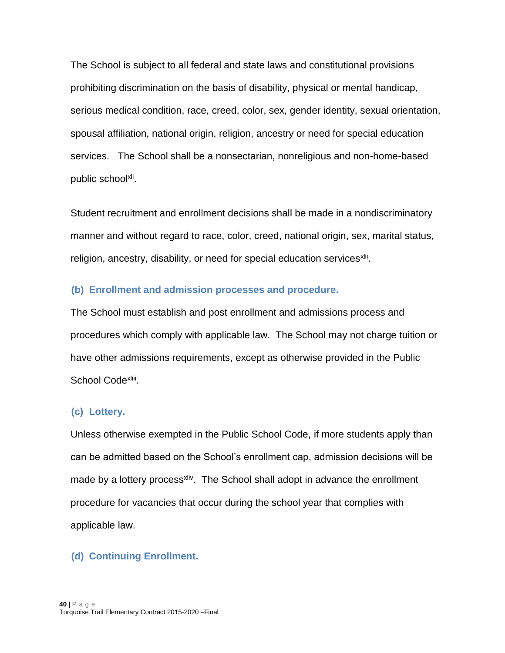The School is subject to all federal and state laws and constitutional provisions prohibiting discrimination on the basis of disability, physical or mental handicap, serious medical condition, race, creed, color, sex, gender identity, sexual orientation, spousal affiliation, national origin, religion, ancestry or need for special education services. The School shall be a nonsectarian, nonreligious and non-home-based public school<sup>xli</sup>.

Student recruitment and enrollment decisions shall be made in a nondiscriminatory manner and without regard to race, color, creed, national origin, sex, marital status, religion, ancestry, disability, or need for special education services<sup>xlii</sup>.

#### <span id="page-39-0"></span>**(b) Enrollment and admission processes and procedure.**

The School must establish and post enrollment and admissions process and procedures which comply with applicable law. The School may not charge tuition or have other admissions requirements, except as otherwise provided in the Public School Code<sup>xliii</sup>.

#### <span id="page-39-1"></span>**(c) Lottery.**

Unless otherwise exempted in the Public School Code, if more students apply than can be admitted based on the School's enrollment cap, admission decisions will be made by a lottery process<sup>xliv</sup>. The School shall adopt in advance the enrollment procedure for vacancies that occur during the school year that complies with applicable law.

#### <span id="page-39-2"></span>**(d) Continuing Enrollment.**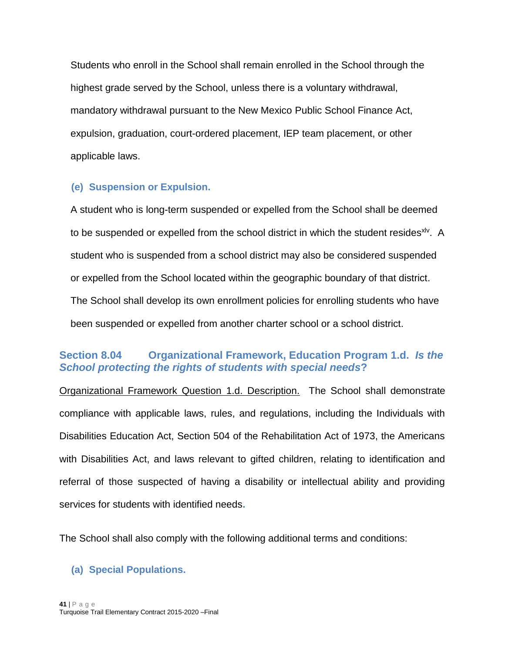Students who enroll in the School shall remain enrolled in the School through the highest grade served by the School, unless there is a voluntary withdrawal, mandatory withdrawal pursuant to the New Mexico Public School Finance Act, expulsion, graduation, court-ordered placement, IEP team placement, or other applicable laws.

#### <span id="page-40-0"></span>**(e) Suspension or Expulsion.**

A student who is long-term suspended or expelled from the School shall be deemed to be suspended or expelled from the school district in which the student resides<sup>xlv</sup>. A student who is suspended from a school district may also be considered suspended or expelled from the School located within the geographic boundary of that district. The School shall develop its own enrollment policies for enrolling students who have been suspended or expelled from another charter school or a school district.

## <span id="page-40-1"></span>**Section 8.04 Organizational Framework, Education Program 1.d.** *Is the School protecting the rights of students with special needs***?**

Organizational Framework Question 1.d. Description. The School shall demonstrate compliance with applicable laws, rules, and regulations, including the Individuals with Disabilities Education Act, Section 504 of the Rehabilitation Act of 1973, the Americans with Disabilities Act, and laws relevant to gifted children, relating to identification and referral of those suspected of having a disability or intellectual ability and providing services for students with identified needs**.**

The School shall also comply with the following additional terms and conditions:

#### <span id="page-40-2"></span>**(a) Special Populations.**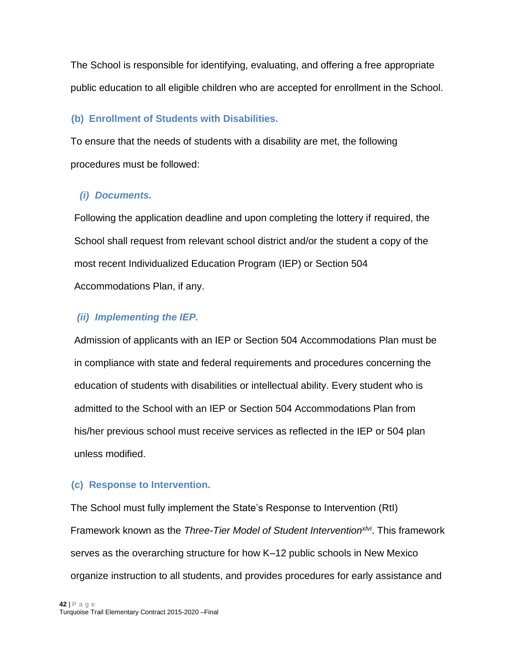The School is responsible for identifying, evaluating, and offering a free appropriate public education to all eligible children who are accepted for enrollment in the School.

## <span id="page-41-0"></span>**(b) Enrollment of Students with Disabilities.**

To ensure that the needs of students with a disability are met, the following procedures must be followed:

## *(i) Documents.*

Following the application deadline and upon completing the lottery if required, the School shall request from relevant school district and/or the student a copy of the most recent Individualized Education Program (IEP) or Section 504 Accommodations Plan, if any.

# *(ii) Implementing the IEP.*

Admission of applicants with an IEP or Section 504 Accommodations Plan must be in compliance with state and federal requirements and procedures concerning the education of students with disabilities or intellectual ability. Every student who is admitted to the School with an IEP or Section 504 Accommodations Plan from his/her previous school must receive services as reflected in the IEP or 504 plan unless modified.

# <span id="page-41-1"></span>**(c) Response to Intervention.**

The School must fully implement the State's Response to Intervention (RtI) Framework known as the *Three-Tier Model of Student Interventionxlvi*. This framework serves as the overarching structure for how K–12 public schools in New Mexico organize instruction to all students, and provides procedures for early assistance and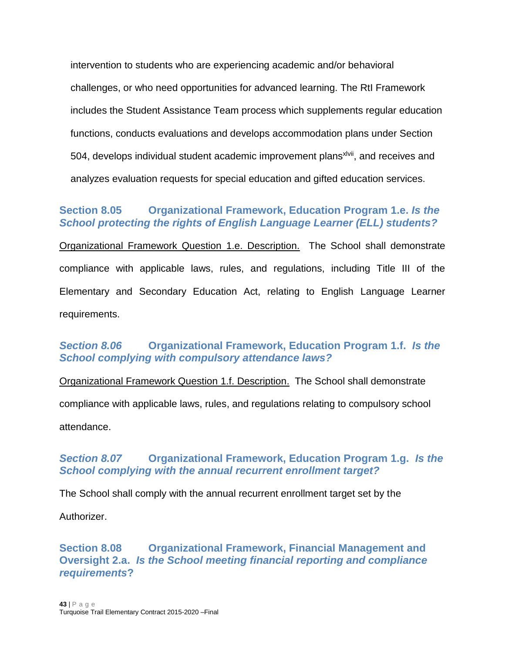intervention to students who are experiencing academic and/or behavioral challenges, or who need opportunities for advanced learning. The RtI Framework includes the Student Assistance Team process which supplements regular education functions, conducts evaluations and develops accommodation plans under Section 504, develops individual student academic improvement plans<sup>xivii</sup>, and receives and analyzes evaluation requests for special education and gifted education services.

# <span id="page-42-0"></span>**Section 8.05 Organizational Framework, Education Program 1.e.** *Is the School protecting the rights of English Language Learner (ELL) students?*

Organizational Framework Question 1.e. Description. The School shall demonstrate compliance with applicable laws, rules, and regulations, including Title III of the Elementary and Secondary Education Act, relating to English Language Learner requirements.

# <span id="page-42-1"></span>*Section 8.06* **Organizational Framework, Education Program 1.f.** *Is the School complying with compulsory attendance laws?*

Organizational Framework Question 1.f. Description. The School shall demonstrate compliance with applicable laws, rules, and regulations relating to compulsory school attendance.

# <span id="page-42-2"></span>*Section 8.07* **Organizational Framework, Education Program 1.g.** *Is the School complying with the annual recurrent enrollment target?*

The School shall comply with the annual recurrent enrollment target set by the

Authorizer.

<span id="page-42-3"></span>**Section 8.08 Organizational Framework, Financial Management and Oversight 2.a.** *Is the School meeting financial reporting and compliance requirements***?**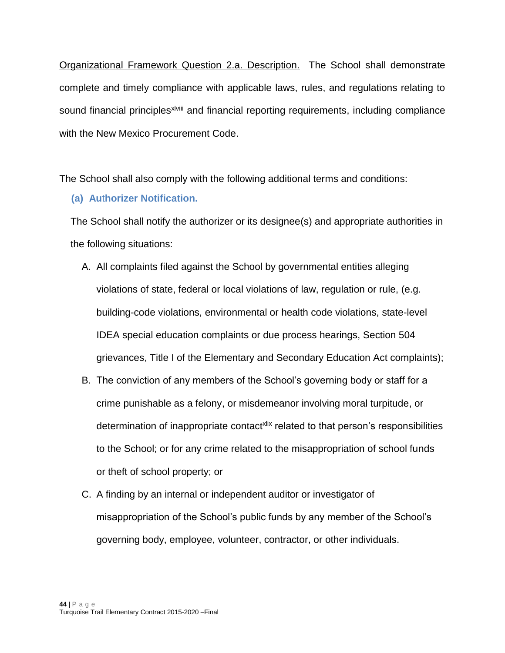Organizational Framework Question 2.a. Description. The School shall demonstrate complete and timely compliance with applicable laws, rules, and regulations relating to sound financial principles<sup>xiviii</sup> and financial reporting requirements, including compliance with the New Mexico Procurement Code.

<span id="page-43-0"></span>The School shall also comply with the following additional terms and conditions:

# **(a) Au**t**horizer Notification.**

The School shall notify the authorizer or its designee(s) and appropriate authorities in the following situations:

- A. All complaints filed against the School by governmental entities alleging violations of state, federal or local violations of law, regulation or rule, (e.g. building-code violations, environmental or health code violations, state-level IDEA special education complaints or due process hearings, Section 504 grievances, Title I of the Elementary and Secondary Education Act complaints);
- B. The conviction of any members of the School's governing body or staff for a crime punishable as a felony, or misdemeanor involving moral turpitude, or determination of inappropriate contact<sup>xlix</sup> related to that person's responsibilities to the School; or for any crime related to the misappropriation of school funds or theft of school property; or
- C. A finding by an internal or independent auditor or investigator of misappropriation of the School's public funds by any member of the School's governing body, employee, volunteer, contractor, or other individuals.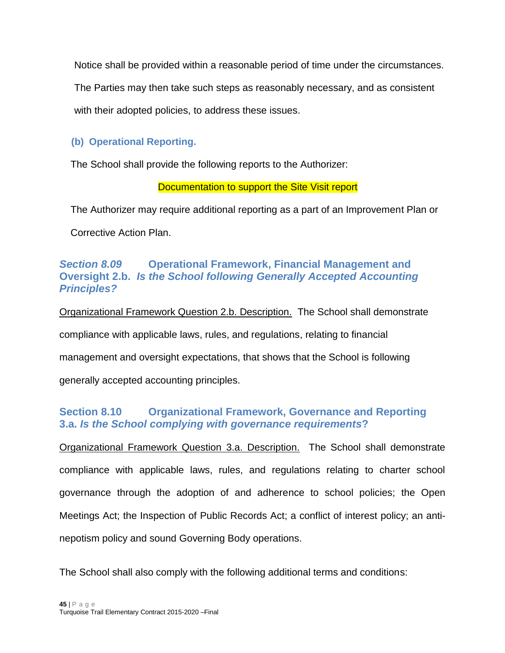Notice shall be provided within a reasonable period of time under the circumstances.

The Parties may then take such steps as reasonably necessary, and as consistent

with their adopted policies, to address these issues.

# <span id="page-44-0"></span>**(b) Operational Reporting.**

The School shall provide the following reports to the Authorizer:

#### Documentation to support the Site Visit report

The Authorizer may require additional reporting as a part of an Improvement Plan or

Corrective Action Plan.

# <span id="page-44-1"></span>*Section 8.09* **Operational Framework, Financial Management and Oversight 2.b.** *Is the School following Generally Accepted Accounting Principles?*

Organizational Framework Question 2.b. Description. The School shall demonstrate compliance with applicable laws, rules, and regulations, relating to financial management and oversight expectations, that shows that the School is following generally accepted accounting principles.

# <span id="page-44-2"></span>**Section 8.10 Organizational Framework, Governance and Reporting 3.a.** *Is the School complying with governance requirements***?**

Organizational Framework Question 3.a. Description. The School shall demonstrate compliance with applicable laws, rules, and regulations relating to charter school governance through the adoption of and adherence to school policies; the Open Meetings Act; the Inspection of Public Records Act; a conflict of interest policy; an antinepotism policy and sound Governing Body operations.

The School shall also comply with the following additional terms and conditions: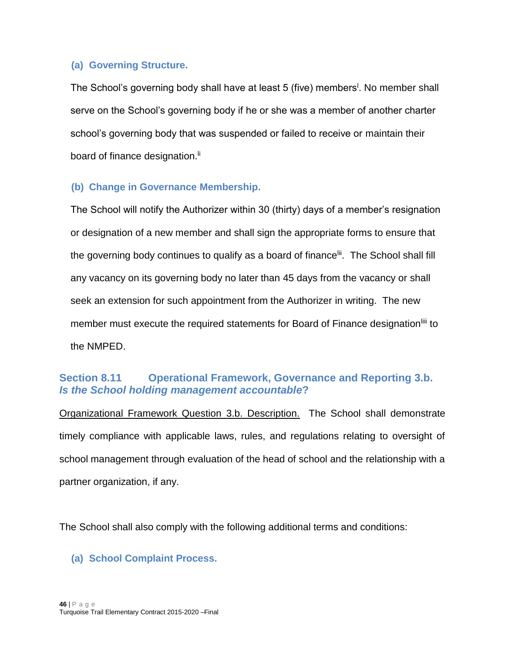#### <span id="page-45-0"></span>**(a) Governing Structure.**

The School's governing body shall have at least 5 (five) members<sup>1</sup>. No member shall serve on the School's governing body if he or she was a member of another charter school's governing body that was suspended or failed to receive or maintain their board of finance designation.<sup>Ii</sup>

# <span id="page-45-1"></span>**(b) Change in Governance Membership.**

The School will notify the Authorizer within 30 (thirty) days of a member's resignation or designation of a new member and shall sign the appropriate forms to ensure that the governing body continues to qualify as a board of finance<sup>lii</sup>. The School shall fill any vacancy on its governing body no later than 45 days from the vacancy or shall seek an extension for such appointment from the Authorizer in writing. The new member must execute the required statements for Board of Finance designation<sup>liii</sup> to the NMPED.

# <span id="page-45-2"></span>**Section 8.11 Operational Framework, Governance and Reporting 3.b.**  *Is the School holding management accountable***?**

Organizational Framework Question 3.b. Description. The School shall demonstrate timely compliance with applicable laws, rules, and regulations relating to oversight of school management through evaluation of the head of school and the relationship with a partner organization, if any.

The School shall also comply with the following additional terms and conditions:

# <span id="page-45-3"></span>**(a) School Complaint Process.**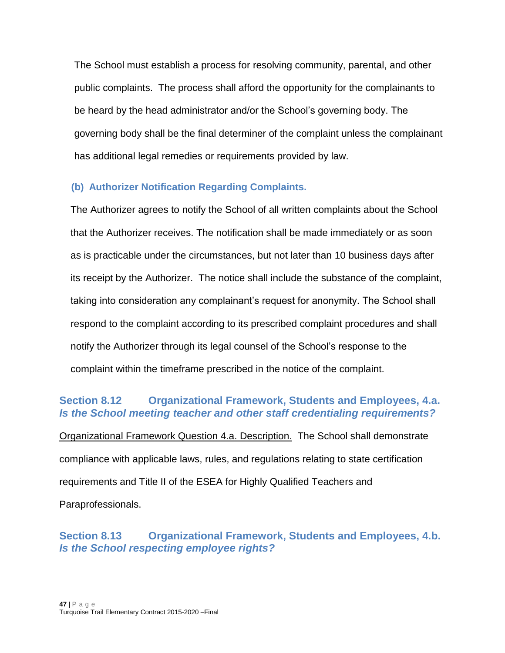The School must establish a process for resolving community, parental, and other public complaints. The process shall afford the opportunity for the complainants to be heard by the head administrator and/or the School's governing body. The governing body shall be the final determiner of the complaint unless the complainant has additional legal remedies or requirements provided by law.

# <span id="page-46-0"></span>**(b) Authorizer Notification Regarding Complaints.**

The Authorizer agrees to notify the School of all written complaints about the School that the Authorizer receives. The notification shall be made immediately or as soon as is practicable under the circumstances, but not later than 10 business days after its receipt by the Authorizer. The notice shall include the substance of the complaint, taking into consideration any complainant's request for anonymity. The School shall respond to the complaint according to its prescribed complaint procedures and shall notify the Authorizer through its legal counsel of the School's response to the complaint within the timeframe prescribed in the notice of the complaint.

# <span id="page-46-1"></span>**Section 8.12 Organizational Framework, Students and Employees, 4.a.**  *Is the School meeting teacher and other staff credentialing requirements?*

Organizational Framework Question 4.a. Description. The School shall demonstrate compliance with applicable laws, rules, and regulations relating to state certification requirements and Title II of the ESEA for Highly Qualified Teachers and Paraprofessionals.

# <span id="page-46-2"></span>**Section 8.13 Organizational Framework, Students and Employees, 4.b.**  *Is the School respecting employee rights?*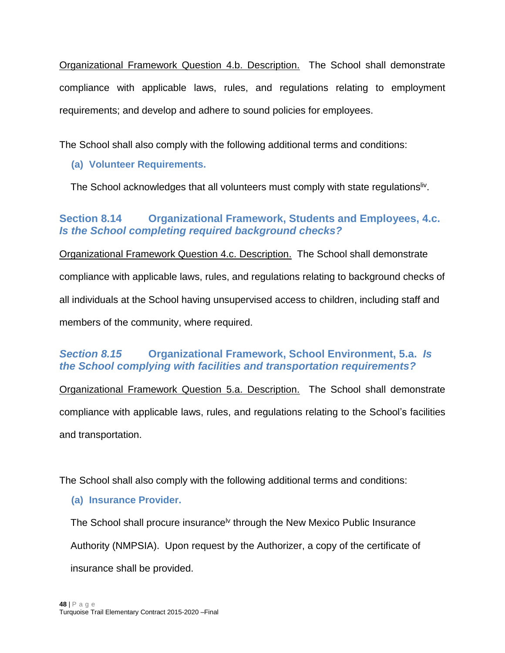Organizational Framework Question 4.b. Description. The School shall demonstrate compliance with applicable laws, rules, and regulations relating to employment requirements; and develop and adhere to sound policies for employees.

<span id="page-47-0"></span>The School shall also comply with the following additional terms and conditions:

# **(a) Volunteer Requirements.**

The School acknowledges that all volunteers must comply with state regulations<sup>liv</sup>.

# <span id="page-47-1"></span>**Section 8.14 Organizational Framework, Students and Employees, 4.c.**  *Is the School completing required background checks?*

Organizational Framework Question 4.c. Description. The School shall demonstrate compliance with applicable laws, rules, and regulations relating to background checks of all individuals at the School having unsupervised access to children, including staff and members of the community, where required.

# <span id="page-47-2"></span>*Section 8.15* **Organizational Framework, School Environment, 5.a.** *Is the School complying with facilities and transportation requirements?*

Organizational Framework Question 5.a. Description. The School shall demonstrate compliance with applicable laws, rules, and regulations relating to the School's facilities and transportation.

<span id="page-47-3"></span>The School shall also comply with the following additional terms and conditions:

# **(a) Insurance Provider.**

The School shall procure insurance<sup> $iv$ </sup> through the New Mexico Public Insurance Authority (NMPSIA). Upon request by the Authorizer, a copy of the certificate of insurance shall be provided.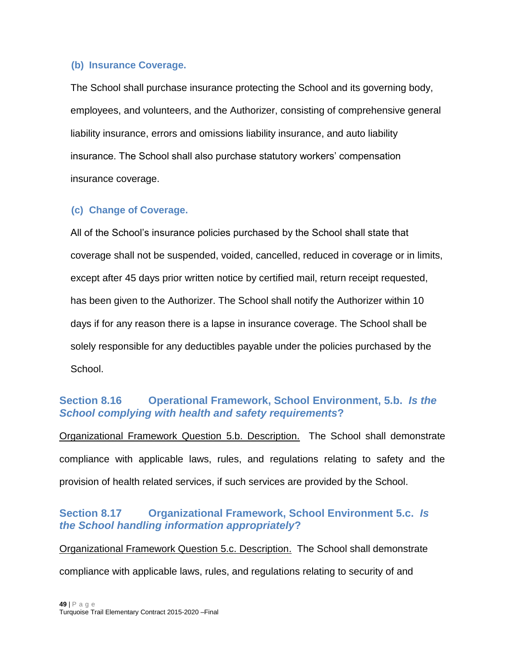#### <span id="page-48-0"></span>**(b) Insurance Coverage.**

The School shall purchase insurance protecting the School and its governing body, employees, and volunteers, and the Authorizer, consisting of comprehensive general liability insurance, errors and omissions liability insurance, and auto liability insurance. The School shall also purchase statutory workers' compensation insurance coverage.

# <span id="page-48-1"></span>**(c) Change of Coverage.**

All of the School's insurance policies purchased by the School shall state that coverage shall not be suspended, voided, cancelled, reduced in coverage or in limits, except after 45 days prior written notice by certified mail, return receipt requested, has been given to the Authorizer. The School shall notify the Authorizer within 10 days if for any reason there is a lapse in insurance coverage. The School shall be solely responsible for any deductibles payable under the policies purchased by the School.

# <span id="page-48-2"></span>**Section 8.16 Operational Framework, School Environment, 5.b.** *Is the School complying with health and safety requirements***?**

Organizational Framework Question 5.b. Description. The School shall demonstrate compliance with applicable laws, rules, and regulations relating to safety and the provision of health related services, if such services are provided by the School.

# <span id="page-48-3"></span>**Section 8.17 Organizational Framework, School Environment 5.c.** *Is the School handling information appropriately***?**

Organizational Framework Question 5.c. Description. The School shall demonstrate compliance with applicable laws, rules, and regulations relating to security of and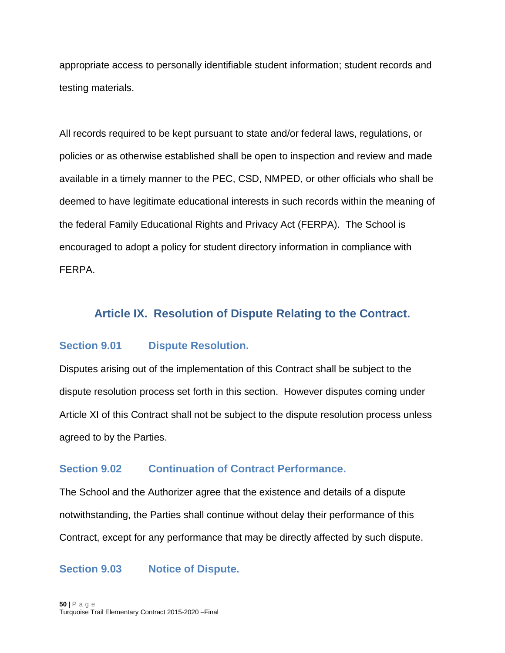appropriate access to personally identifiable student information; student records and testing materials.

All records required to be kept pursuant to state and/or federal laws, regulations, or policies or as otherwise established shall be open to inspection and review and made available in a timely manner to the PEC, CSD, NMPED, or other officials who shall be deemed to have legitimate educational interests in such records within the meaning of the federal Family Educational Rights and Privacy Act (FERPA). The School is encouraged to adopt a policy for student directory information in compliance with FERPA.

# <span id="page-49-0"></span>**Article IX. Resolution of Dispute Relating to the Contract.**

#### <span id="page-49-1"></span>**Section 9.01 Dispute Resolution.**

Disputes arising out of the implementation of this Contract shall be subject to the dispute resolution process set forth in this section. However disputes coming under Article XI of this Contract shall not be subject to the dispute resolution process unless agreed to by the Parties.

#### <span id="page-49-2"></span>**Section 9.02 Continuation of Contract Performance.**

The School and the Authorizer agree that the existence and details of a dispute notwithstanding, the Parties shall continue without delay their performance of this Contract, except for any performance that may be directly affected by such dispute.

#### <span id="page-49-3"></span>**Section 9.03 Notice of Dispute.**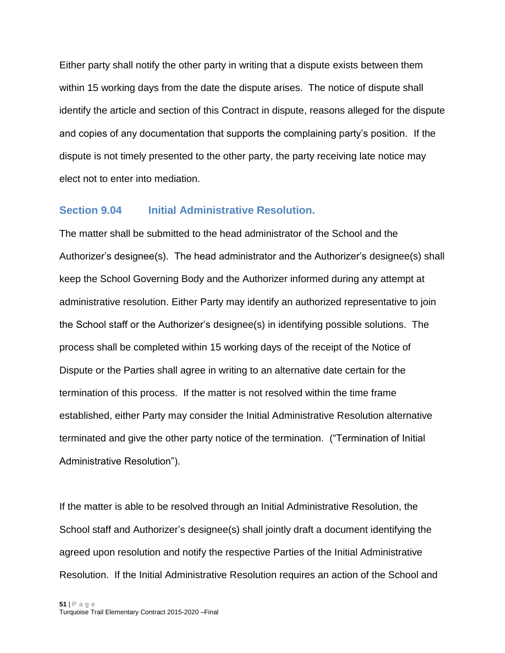Either party shall notify the other party in writing that a dispute exists between them within 15 working days from the date the dispute arises. The notice of dispute shall identify the article and section of this Contract in dispute, reasons alleged for the dispute and copies of any documentation that supports the complaining party's position. If the dispute is not timely presented to the other party, the party receiving late notice may elect not to enter into mediation.

#### <span id="page-50-0"></span>**Section 9.04 Initial Administrative Resolution.**

The matter shall be submitted to the head administrator of the School and the Authorizer's designee(s). The head administrator and the Authorizer's designee(s) shall keep the School Governing Body and the Authorizer informed during any attempt at administrative resolution. Either Party may identify an authorized representative to join the School staff or the Authorizer's designee(s) in identifying possible solutions. The process shall be completed within 15 working days of the receipt of the Notice of Dispute or the Parties shall agree in writing to an alternative date certain for the termination of this process. If the matter is not resolved within the time frame established, either Party may consider the Initial Administrative Resolution alternative terminated and give the other party notice of the termination. ("Termination of Initial Administrative Resolution").

If the matter is able to be resolved through an Initial Administrative Resolution, the School staff and Authorizer's designee(s) shall jointly draft a document identifying the agreed upon resolution and notify the respective Parties of the Initial Administrative Resolution. If the Initial Administrative Resolution requires an action of the School and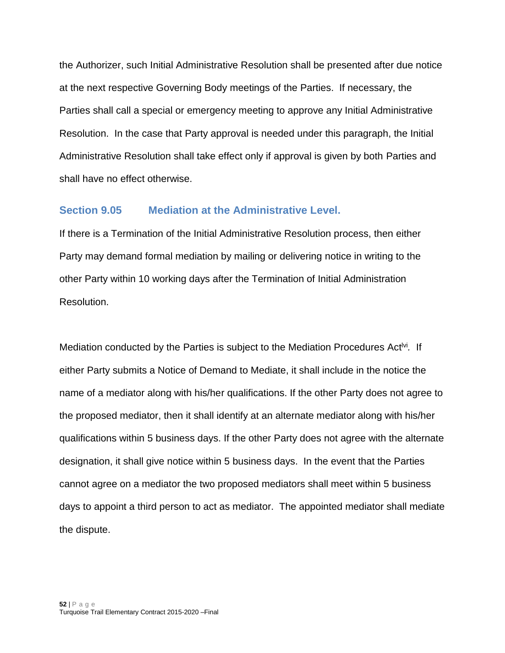the Authorizer, such Initial Administrative Resolution shall be presented after due notice at the next respective Governing Body meetings of the Parties. If necessary, the Parties shall call a special or emergency meeting to approve any Initial Administrative Resolution. In the case that Party approval is needed under this paragraph, the Initial Administrative Resolution shall take effect only if approval is given by both Parties and shall have no effect otherwise.

#### <span id="page-51-0"></span>**Section 9.05 Mediation at the Administrative Level.**

If there is a Termination of the Initial Administrative Resolution process, then either Party may demand formal mediation by mailing or delivering notice in writing to the other Party within 10 working days after the Termination of Initial Administration Resolution.

Mediation conducted by the Parties is subject to the Mediation Procedures Act<sup>ivi</sup>. If either Party submits a Notice of Demand to Mediate, it shall include in the notice the name of a mediator along with his/her qualifications. If the other Party does not agree to the proposed mediator, then it shall identify at an alternate mediator along with his/her qualifications within 5 business days. If the other Party does not agree with the alternate designation, it shall give notice within 5 business days. In the event that the Parties cannot agree on a mediator the two proposed mediators shall meet within 5 business days to appoint a third person to act as mediator. The appointed mediator shall mediate the dispute.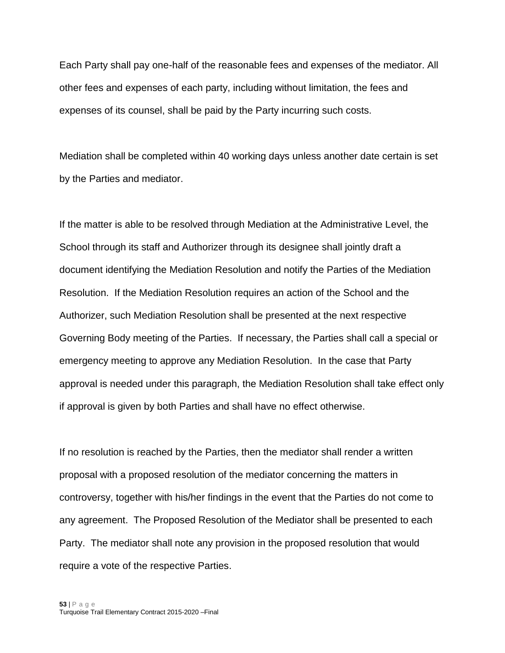Each Party shall pay one-half of the reasonable fees and expenses of the mediator. All other fees and expenses of each party, including without limitation, the fees and expenses of its counsel, shall be paid by the Party incurring such costs.

Mediation shall be completed within 40 working days unless another date certain is set by the Parties and mediator.

If the matter is able to be resolved through Mediation at the Administrative Level, the School through its staff and Authorizer through its designee shall jointly draft a document identifying the Mediation Resolution and notify the Parties of the Mediation Resolution. If the Mediation Resolution requires an action of the School and the Authorizer, such Mediation Resolution shall be presented at the next respective Governing Body meeting of the Parties. If necessary, the Parties shall call a special or emergency meeting to approve any Mediation Resolution. In the case that Party approval is needed under this paragraph, the Mediation Resolution shall take effect only if approval is given by both Parties and shall have no effect otherwise.

If no resolution is reached by the Parties, then the mediator shall render a written proposal with a proposed resolution of the mediator concerning the matters in controversy, together with his/her findings in the event that the Parties do not come to any agreement. The Proposed Resolution of the Mediator shall be presented to each Party. The mediator shall note any provision in the proposed resolution that would require a vote of the respective Parties.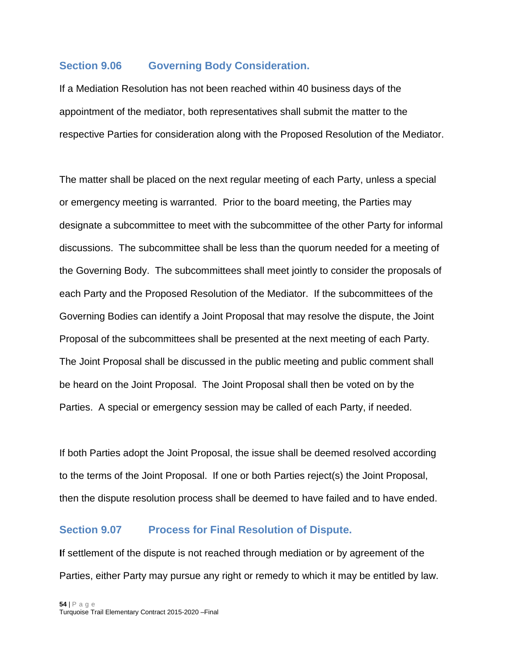#### <span id="page-53-0"></span>**Section 9.06 Governing Body Consideration.**

If a Mediation Resolution has not been reached within 40 business days of the appointment of the mediator, both representatives shall submit the matter to the respective Parties for consideration along with the Proposed Resolution of the Mediator.

The matter shall be placed on the next regular meeting of each Party, unless a special or emergency meeting is warranted. Prior to the board meeting, the Parties may designate a subcommittee to meet with the subcommittee of the other Party for informal discussions. The subcommittee shall be less than the quorum needed for a meeting of the Governing Body. The subcommittees shall meet jointly to consider the proposals of each Party and the Proposed Resolution of the Mediator. If the subcommittees of the Governing Bodies can identify a Joint Proposal that may resolve the dispute, the Joint Proposal of the subcommittees shall be presented at the next meeting of each Party. The Joint Proposal shall be discussed in the public meeting and public comment shall be heard on the Joint Proposal. The Joint Proposal shall then be voted on by the Parties. A special or emergency session may be called of each Party, if needed.

If both Parties adopt the Joint Proposal, the issue shall be deemed resolved according to the terms of the Joint Proposal. If one or both Parties reject(s) the Joint Proposal, then the dispute resolution process shall be deemed to have failed and to have ended.

#### <span id="page-53-1"></span>**Section 9.07 Process for Final Resolution of Dispute.**

**I**f settlement of the dispute is not reached through mediation or by agreement of the Parties, either Party may pursue any right or remedy to which it may be entitled by law.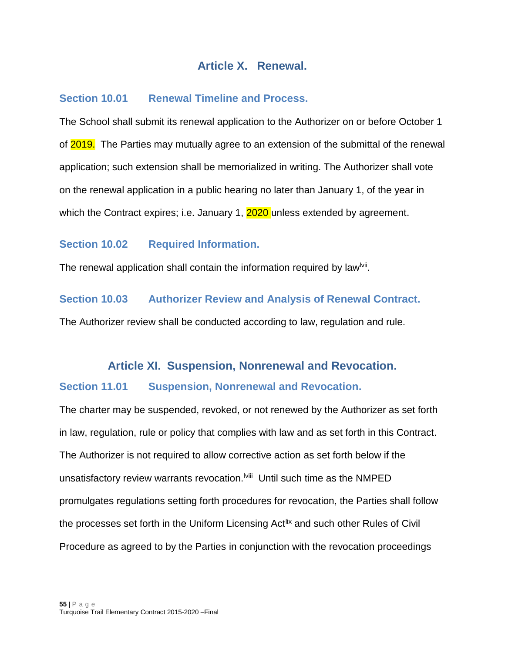# **Article X. Renewal.**

## <span id="page-54-1"></span><span id="page-54-0"></span>**Section 10.01 Renewal Timeline and Process.**

The School shall submit its renewal application to the Authorizer on or before October 1 of 2019. The Parties may mutually agree to an extension of the submittal of the renewal application; such extension shall be memorialized in writing. The Authorizer shall vote on the renewal application in a public hearing no later than January 1, of the year in which the Contract expires; i.e. January 1, 2020 unless extended by agreement.

#### <span id="page-54-2"></span>**Section 10.02 Required Information.**

The renewal application shall contain the information required by law<sup>lvii</sup>.

## <span id="page-54-3"></span>**Section 10.03 Authorizer Review and Analysis of Renewal Contract.**

<span id="page-54-4"></span>The Authorizer review shall be conducted according to law, regulation and rule.

#### **Article XI. Suspension, Nonrenewal and Revocation.**

#### <span id="page-54-5"></span>**Section 11.01 Suspension, Nonrenewal and Revocation.**

The charter may be suspended, revoked, or not renewed by the Authorizer as set forth in law, regulation, rule or policy that complies with law and as set forth in this Contract. The Authorizer is not required to allow corrective action as set forth below if the unsatisfactory review warrants revocation.<sup>Iviii</sup> Until such time as the NMPED promulgates regulations setting forth procedures for revocation, the Parties shall follow the processes set forth in the Uniform Licensing Act<sup>lix</sup> and such other Rules of Civil Procedure as agreed to by the Parties in conjunction with the revocation proceedings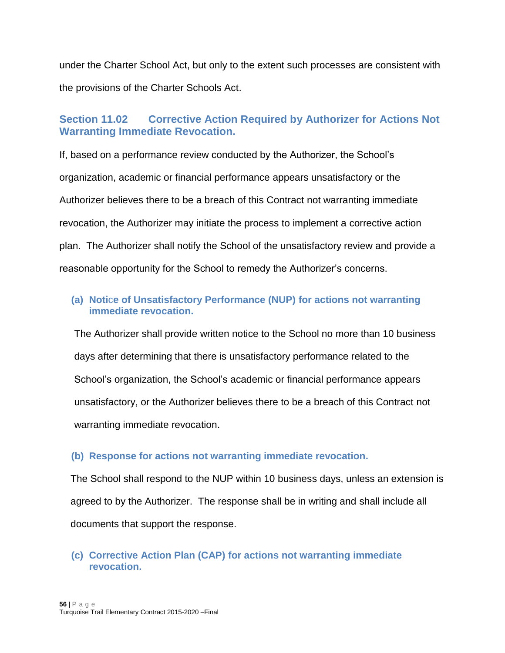under the Charter School Act, but only to the extent such processes are consistent with the provisions of the Charter Schools Act.

# <span id="page-55-0"></span>**Section 11.02 Corrective Action Required by Authorizer for Actions Not Warranting Immediate Revocation.**

If, based on a performance review conducted by the Authorizer, the School's organization, academic or financial performance appears unsatisfactory or the Authorizer believes there to be a breach of this Contract not warranting immediate revocation, the Authorizer may initiate the process to implement a corrective action plan. The Authorizer shall notify the School of the unsatisfactory review and provide a reasonable opportunity for the School to remedy the Authorizer's concerns.

## <span id="page-55-1"></span>**(a) Noti**c**e of Unsatisfactory Performance (NUP) for actions not warranting immediate revocation.**

The Authorizer shall provide written notice to the School no more than 10 business days after determining that there is unsatisfactory performance related to the School's organization, the School's academic or financial performance appears unsatisfactory, or the Authorizer believes there to be a breach of this Contract not warranting immediate revocation.

#### <span id="page-55-2"></span>**(b) Response for actions not warranting immediate revocation.**

The School shall respond to the NUP within 10 business days, unless an extension is agreed to by the Authorizer. The response shall be in writing and shall include all documents that support the response.

## <span id="page-55-3"></span>**(c) Corrective Action Plan (CAP) for actions not warranting immediate revocation.**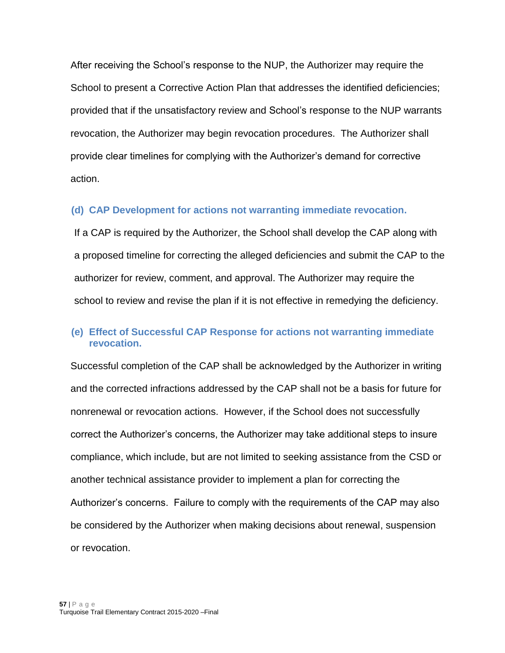After receiving the School's response to the NUP, the Authorizer may require the School to present a Corrective Action Plan that addresses the identified deficiencies; provided that if the unsatisfactory review and School's response to the NUP warrants revocation, the Authorizer may begin revocation procedures. The Authorizer shall provide clear timelines for complying with the Authorizer's demand for corrective action.

#### <span id="page-56-0"></span>**(d) CAP Development for actions not warranting immediate revocation.**

If a CAP is required by the Authorizer, the School shall develop the CAP along with a proposed timeline for correcting the alleged deficiencies and submit the CAP to the authorizer for review, comment, and approval. The Authorizer may require the school to review and revise the plan if it is not effective in remedying the deficiency.

#### <span id="page-56-1"></span>**(e) Effect of Successful CAP Response for actions not warranting immediate revocation.**

Successful completion of the CAP shall be acknowledged by the Authorizer in writing and the corrected infractions addressed by the CAP shall not be a basis for future for nonrenewal or revocation actions. However, if the School does not successfully correct the Authorizer's concerns, the Authorizer may take additional steps to insure compliance, which include, but are not limited to seeking assistance from the CSD or another technical assistance provider to implement a plan for correcting the Authorizer's concerns. Failure to comply with the requirements of the CAP may also be considered by the Authorizer when making decisions about renewal, suspension or revocation.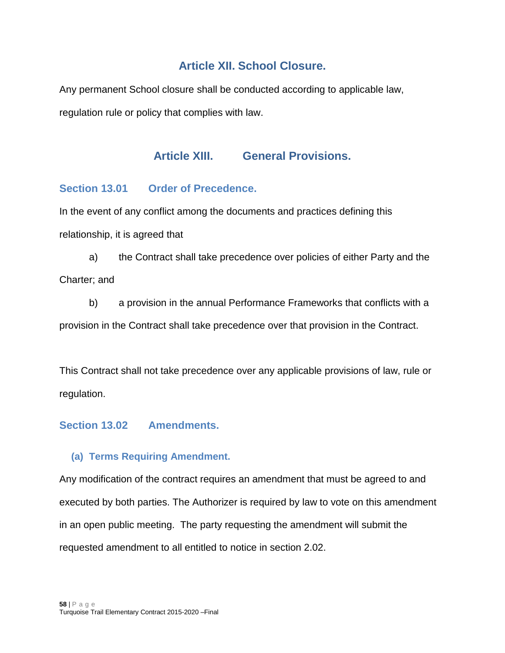# **Article XII. School Closure.**

<span id="page-57-1"></span><span id="page-57-0"></span>Any permanent School closure shall be conducted according to applicable law, regulation rule or policy that complies with law.

# **Article XIII. General Provisions.**

## <span id="page-57-2"></span>**Section 13.01 Order of Precedence.**

In the event of any conflict among the documents and practices defining this relationship, it is agreed that

a) the Contract shall take precedence over policies of either Party and the Charter; and

b) a provision in the annual Performance Frameworks that conflicts with a provision in the Contract shall take precedence over that provision in the Contract.

This Contract shall not take precedence over any applicable provisions of law, rule or regulation.

# <span id="page-57-3"></span>**Section 13.02 Amendments.**

#### <span id="page-57-4"></span>**(a) Terms Requiring Amendment.**

Any modification of the contract requires an amendment that must be agreed to and executed by both parties. The Authorizer is required by law to vote on this amendment in an open public meeting. The party requesting the amendment will submit the requested amendment to all entitled to notice in section 2.02.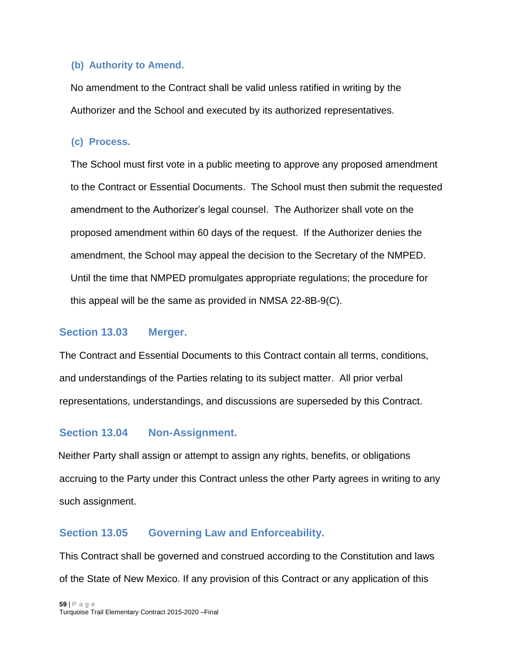#### <span id="page-58-0"></span>**(b) Authority to Amend.**

No amendment to the Contract shall be valid unless ratified in writing by the Authorizer and the School and executed by its authorized representatives.

#### <span id="page-58-1"></span>**(c) Process.**

The School must first vote in a public meeting to approve any proposed amendment to the Contract or Essential Documents. The School must then submit the requested amendment to the Authorizer's legal counsel. The Authorizer shall vote on the proposed amendment within 60 days of the request. If the Authorizer denies the amendment, the School may appeal the decision to the Secretary of the NMPED. Until the time that NMPED promulgates appropriate regulations; the procedure for this appeal will be the same as provided in NMSA 22-8B-9(C).

#### <span id="page-58-2"></span>**Section 13.03 Merger.**

The Contract and Essential Documents to this Contract contain all terms, conditions, and understandings of the Parties relating to its subject matter. All prior verbal representations, understandings, and discussions are superseded by this Contract.

# <span id="page-58-3"></span>**Section 13.04 Non-Assignment.**

Neither Party shall assign or attempt to assign any rights, benefits, or obligations accruing to the Party under this Contract unless the other Party agrees in writing to any such assignment.

# <span id="page-58-4"></span>**Section 13.05 Governing Law and Enforceability.**

This Contract shall be governed and construed according to the Constitution and laws of the State of New Mexico. If any provision of this Contract or any application of this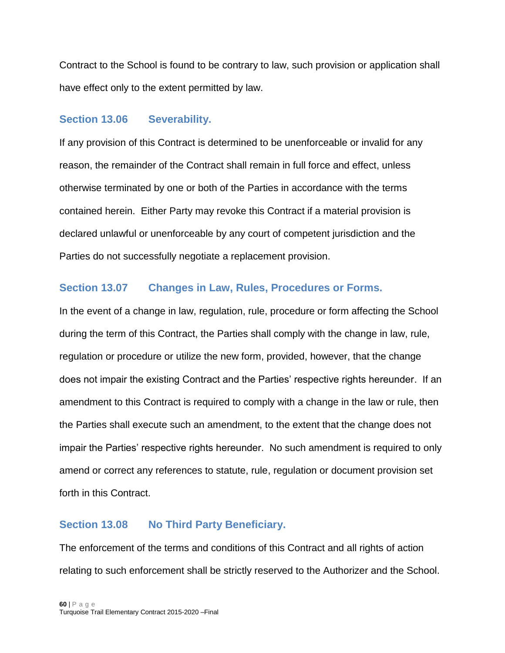Contract to the School is found to be contrary to law, such provision or application shall have effect only to the extent permitted by law.

#### <span id="page-59-0"></span>**Section 13.06 Severability.**

If any provision of this Contract is determined to be unenforceable or invalid for any reason, the remainder of the Contract shall remain in full force and effect, unless otherwise terminated by one or both of the Parties in accordance with the terms contained herein. Either Party may revoke this Contract if a material provision is declared unlawful or unenforceable by any court of competent jurisdiction and the Parties do not successfully negotiate a replacement provision.

# <span id="page-59-1"></span>**Section 13.07 Changes in Law, Rules, Procedures or Forms.**

In the event of a change in law, regulation, rule, procedure or form affecting the School during the term of this Contract, the Parties shall comply with the change in law, rule, regulation or procedure or utilize the new form, provided, however, that the change does not impair the existing Contract and the Parties' respective rights hereunder. If an amendment to this Contract is required to comply with a change in the law or rule, then the Parties shall execute such an amendment, to the extent that the change does not impair the Parties' respective rights hereunder. No such amendment is required to only amend or correct any references to statute, rule, regulation or document provision set forth in this Contract.

# <span id="page-59-2"></span>**Section 13.08 No Third Party Beneficiary.**

The enforcement of the terms and conditions of this Contract and all rights of action relating to such enforcement shall be strictly reserved to the Authorizer and the School.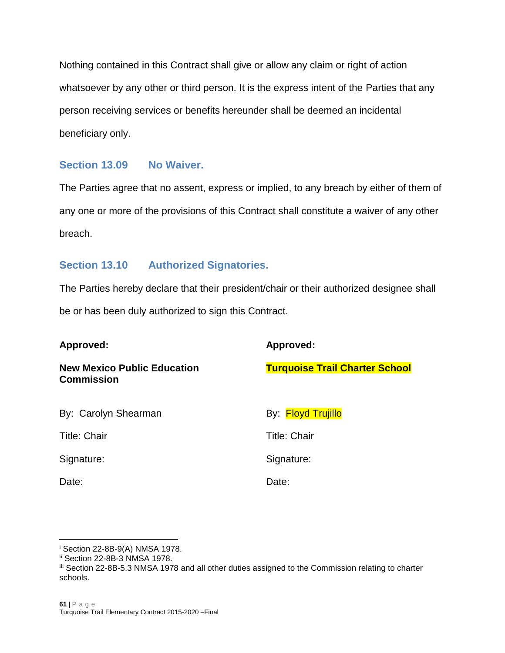Nothing contained in this Contract shall give or allow any claim or right of action whatsoever by any other or third person. It is the express intent of the Parties that any person receiving services or benefits hereunder shall be deemed an incidental beneficiary only.

#### <span id="page-60-0"></span>**Section 13.09 No Waiver.**

The Parties agree that no assent, express or implied, to any breach by either of them of any one or more of the provisions of this Contract shall constitute a waiver of any other breach.

## <span id="page-60-1"></span>**Section 13.10 Authorized Signatories.**

The Parties hereby declare that their president/chair or their authorized designee shall be or has been duly authorized to sign this Contract.

| Approved:                                               | Approved:                             |
|---------------------------------------------------------|---------------------------------------|
| <b>New Mexico Public Education</b><br><b>Commission</b> | <b>Turquoise Trail Charter School</b> |
| By: Carolyn Shearman                                    | By: Floyd Trujillo                    |
| <b>Title: Chair</b>                                     | <b>Title: Chair</b>                   |
| Signature:                                              | Signature:                            |
| Date:                                                   | Date:                                 |

 $\overline{a}$ 

<sup>i</sup> Section 22-8B-9(A) NMSA 1978.

ii Section 22-8B-3 NMSA 1978.

iii Section 22-8B-5.3 NMSA 1978 and all other duties assigned to the Commission relating to charter schools.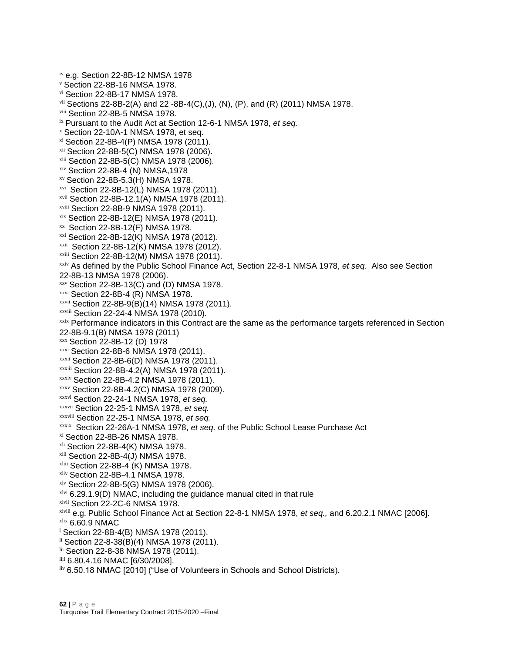iv e.g. Section 22-8B-12 NMSA 1978 <sup>v</sup> Section 22-8B-16 NMSA 1978. vi Section 22-8B-17 NMSA 1978.  $vii$  Sections 22-8B-2(A) and 22 -8B-4(C),(J), (N), (P), and (R) (2011) NMSA 1978. viii Section 22-8B-5 NMSA 1978. ix Pursuant to the Audit Act at Section 12-6-1 NMSA 1978, *et seq.*  $x$  Section 22-10A-1 NMSA 1978, et seq. xi Section 22-8B-4(P) NMSA 1978 (2011). xii Section 22-8B-5(C) NMSA 1978 (2006). xiii Section 22-8B-5(C) NMSA 1978 (2006). xiv Section 22-8B-4 (N) NMSA,1978 xv Section 22-8B-5.3(H) NMSA 1978. xvi Section 22-8B-12(L) NMSA 1978 (2011). xvii Section 22-8B-12.1(A) NMSA 1978 (2011). xviii Section 22-8B-9 NMSA 1978 (2011). xix Section 22-8B-12(E) NMSA 1978 (2011). xx Section 22-8B-12(F) NMSA 1978. xxi Section 22-8B-12(K) NMSA 1978 (2012). xxii Section 22-8B-12(K) NMSA 1978 (2012). xxiii Section 22-8B-12(M) NMSA 1978 (2011). xxiv As defined by the Public School Finance Act, Section 22-8-1 NMSA 1978, *et seq*. Also see Section 22-8B-13 NMSA 1978 (2006).  $xxy$  Section 22-8B-13(C) and (D) NMSA 1978. xxvi Section 22-8B-4 (R) NMSA 1978. xxvii Section 22-8B-9(B)(14) NMSA 1978 (2011). xxviii Section 22-24-4 NMSA 1978 (2010)*.*  xxix Performance indicators in this Contract are the same as the performance targets referenced in Section 22-8B-9.1(B) NMSA 1978 (2011) xxx Section 22-8B-12 (D) 1978 xxxi Section 22-8B-6 NMSA 1978 (2011). xxxii Section 22-8B-6(D) NMSA 1978 (2011). xxxiii Section 22-8B-4.2(A) NMSA 1978 (2011). xxxiv Section 22-8B-4.2 NMSA 1978 (2011). xxxv Section 22-8B-4.2(C) NMSA 1978 (2009). xxxvi Section 22-24-1 NMSA 1978, *et seq.* xxxvii Section 22-25-1 NMSA 1978, *et seq.* xxxviii Section 22-25-1 NMSA 1978, *et seq.* xxxix Section 22-26A-1 NMSA 1978, *et seq.* of the Public School Lease Purchase Act xl Section 22-8B-26 NMSA 1978.  $x<sup>li</sup>$  Section 22-8B-4(K) NMSA 1978. xlii Section 22-8B-4(J) NMSA 1978. xliii Section 22-8B-4 (K) NMSA 1978. xliv Section 22-8B-4.1 NMSA 1978. xlv Section 22-8B-5(G) NMSA 1978 (2006).  $x$ lvi 6.29.1.9(D) NMAC, including the guidance manual cited in that rule xlvii Section 22-2C-6 NMSA 1978. xlviii e.g. Public School Finance Act at Section 22-8-1 NMSA 1978, *et seq.,* and 6.20.2.1 NMAC [2006]. xlix 6.60.9 NMAC  $1$  Section 22-8B-4(B) NMSA 1978 (2011).  $\frac{11}{2}$  Section 22-8-38(B)(4) NMSA 1978 (2011). lii Section 22-8-38 NMSA 1978 (2011). liii 6.80.4.16 NMAC [6/30/2008].

liv 6.50.18 NMAC [2010] ("Use of Volunteers in Schools and School Districts).

 $\overline{a}$